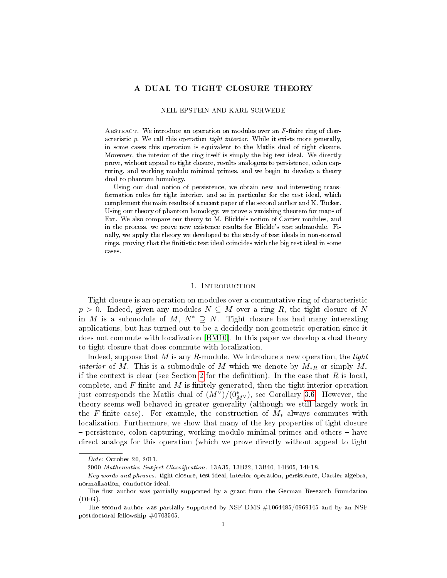# A DUAL TO TIGHT CLOSURE THEORY

### NEIL EPSTEIN AND KARL SCHWEDE

ABSTRACT. We introduce an operation on modules over an  $F$ -finite ring of characteristic p. We call this operation tight interior. While it exists more generally, in some cases this operation is equivalent to the Matlis dual of tight closure. Moreover, the interior of the ring itself is simply the big test ideal. We directly prove, without appeal to tight closure, results analogous to persistence, colon capturing, and working modulo minimal primes, and we begin to develop a theory dual to phantom homology.

Using our dual notion of persistence, we obtain new and interesting transformation rules for tight interior, and so in particular for the test ideal, which complement the main results of a recent paper of the second author and K. Tucker. Using our theory of phantom homology, we prove a vanishing theorem for maps of Ext. We also compare our theory to M. Blickle's notion of Cartier modules, and in the process, we prove new existence results for Blickle's test submodule. Finally, we apply the theory we developed to the study of test ideals in non-normal rings, proving that the finitistic test ideal coincides with the big test ideal in some cases.

### 1. INTRODUCTION

Tight closure is an operation on modules over a commutative ring of characteristic  $p > 0$ . Indeed, given any modules  $N \subseteq M$  over a ring R, the tight closure of N in M is a submodule of M,  $N^* \supseteq N$ . Tight closure has had many interesting applications, but has turned out to be a decidedly non-geometric operation since it does not commute with localization [\[BM10\]](#page-22-0). In this paper we develop a dual theory to tight closure that does commute with localization.

Indeed, suppose that  $M$  is any  $R$ -module. We introduce a new operation, the tight *interior* of M. This is a submodule of M which we denote by  $M_{*R}$  or simply  $M_{*}$ if the context is clear (see Section [2](#page-2-0) for the definition). In the case that  $R$  is local, complete, and  $F$ -finite and  $M$  is finitely generated, then the tight interior operation just corresponds the Matlis dual of  $(M^{\vee})/(0^*_{M^{\vee}})$ , see Corollary [3.6.](#page-10-0) However, the theory seems well behaved in greater generality (although we still largely work in the F-finite case). For example, the construction of  $M_*$  always commutes with localization. Furthermore, we show that many of the key properties of tight closure persistence, colon capturing, working modulo minimal primes and others have direct analogs for this operation (which we prove directly without appeal to tight

Date: October 20, 2011.

<sup>2000</sup> Mathematics Subject Classification. 13A35, 13B22, 13B40, 14B05, 14F18.

Key words and phrases. tight closure, test ideal, interior operation, persistence, Cartier algebra, normalization, conductor ideal.

The first author was partially supported by a grant from the German Research Foundation (DFG).

The second author was partially supported by NSF DMS #1064485/0969145 and by an NSF postdoctoral fellowship #0703505.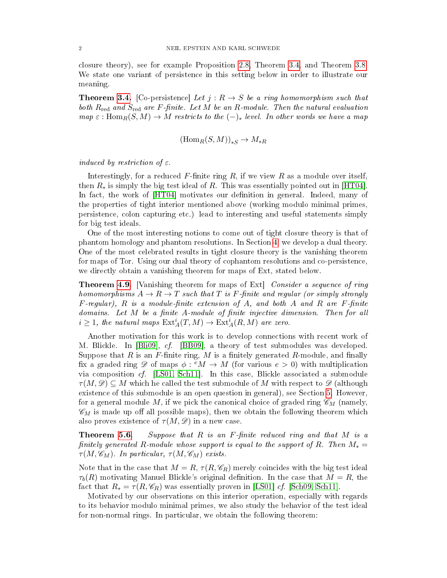closure theory), see for example Proposition [2.8,](#page-5-0) Theorem [3.4,](#page-9-0) and Theorem [3.8.](#page-11-0) We state one variant of persistence in this setting below in order to illustrate our meaning.

**Theorem [3.4.](#page-9-0)** [Co-persistence] Let  $j: R \to S$  be a ring homomorphism such that both  $R_{\text{red}}$  and  $S_{\text{red}}$  are F-finite. Let M be an R-module. Then the natural evaluation  $map \varepsilon : \text{Hom}_{R}(S, M) \to M$  restricts to the  $(-)_*$  level. In other words we have a map

$$
(\mathrm{Hom}_R(S,M))_{*S} \to M_{*R}
$$

induced by restriction of  $\varepsilon$ .

Interestingly, for a reduced  $F$ -finite ring  $R$ , if we view  $R$  as a module over itself, then  $R_*$  is simply the big test ideal of R. This was essentially pointed out in [\[HT04\]](#page-23-0). In fact, the work of  $[HT04]$  motivates our definition in general. Indeed, many of the properties of tight interior mentioned above (working modulo minimal primes, persistence, colon capturing etc.) lead to interesting and useful statements simply for big test ideals.

One of the most interesting notions to come out of tight closure theory is that of phantom homology and phantom resolutions. In Section [4,](#page-12-0) we develop a dual theory. One of the most celebrated results in tight closure theory is the vanishing theorem for maps of Tor. Using our dual theory of cophantom resolutions and co-persistence, we directly obtain a vanishing theorem for maps of Ext, stated below.

**Theorem [4.9.](#page-14-0)** [Vanishing theorem for maps of Ext] Consider a sequence of ring homomorphisms  $A \to R \to T$  such that T is F-finite and regular (or simply strongly  $F$ -regular),  $R$  is a module-finite extension of  $A$ , and both  $A$  and  $R$  are  $F$ -finite domains. Let  $M$  be a finite  $A$ -module of finite injective dimension. Then for all  $i \geq 1$ , the natural maps  $\mathrm{Ext}^i_A(T,M) \to \mathrm{Ext}^i_A(R,M)$  are zero.

Another motivation for this work is to develop connections with recent work of M. Blickle. In [\[Bli09\]](#page-22-1), cf. [\[BB09\]](#page-22-2), a theory of test submodules was developed. Suppose that R is an F-finite ring, M is a finitely generated R-module, and finally fix a graded ring  $\mathscr{D}$  of maps  $\phi: {}^e M \to M$  (for various  $e > 0$ ) with multiplication via composition cf. [\[LS01,](#page-23-1) [Sch11\]](#page-23-2). In this case, Blickle associated a submodule  $\tau(M,\mathscr{D})\subseteq M$  which he called the test submodule of M with respect to  $\mathscr{D}$  (although existence of this submodule is an open question in general), see Section [5.](#page-15-0) However, for a general module M, if we pick the canonical choice of graded ring  $\mathscr{C}_M$  (namely,  $\mathscr{C}_M$  is made up off all possible maps), then we obtain the following theorem which also proves existence of  $\tau(M, \mathscr{D})$  in a new case.

**Theorem [5.6.](#page-16-0)** Suppose that  $R$  is an  $F$ -finite reduced ring and that  $M$  is a finitely generated R-module whose support is equal to the support of R. Then  $M_* =$  $\tau(M, \mathscr{C}_M)$ . In particular,  $\tau(M, \mathscr{C}_M)$  exists.

Note that in the case that  $M = R$ ,  $\tau(R, \mathcal{C}_R)$  merely coincides with the big test ideal  $\tau_b(R)$  motivating Manuel Blickle's original definition. In the case that  $M = R$ , the fact that  $R_* = \tau(R, \mathcal{C}_R)$  was essentially proven in [\[LS01\]](#page-23-1) *cf.* [\[Sch09,](#page-23-3) [Sch11\]](#page-23-2).

Motivated by our observations on this interior operation, especially with regards to its behavior modulo minimal primes, we also study the behavior of the test ideal for non-normal rings. In particular, we obtain the following theorem: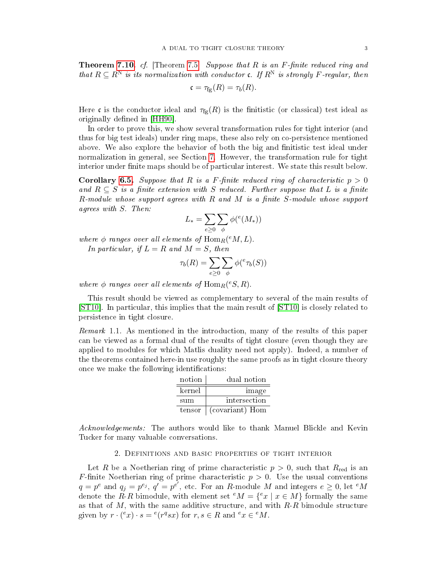**Theorem [7.10.](#page-22-3)** cf. [Theorem [7.5\]](#page-20-0) Suppose that  $R$  is an  $F$ -finite reduced ring and that  $R \subseteq R^N$  is its normalization with conductor c. If  $R^N$  is strongly F-regular, then

$$
\mathfrak{c} = \tau_{\text{fg}}(R) = \tau_b(R).
$$

Here c is the conductor ideal and  $\tau_{fg}(R)$  is the finitistic (or classical) test ideal as originally defined in [\[HH90\]](#page-23-4).

In order to prove this, we show several transformation rules for tight interior (and thus for big test ideals) under ring maps, these also rely on co-persistence mentioned above. We also explore the behavior of both the big and finitistic test ideal under normalization in general, see Section [7.](#page-19-0) However, the transformation rule for tight interior under finite maps should be of particular interest. We state this result below.

**Corollary [6.5.](#page-19-1)** Suppose that R is a F-finite reduced ring of characteristic  $p > 0$ and  $R \subseteq S$  is a finite extension with S reduced. Further suppose that L is a finite  $R$ -module whose support agrees with  $R$  and  $M$  is a finite S-module whose support agrees with S. Then:

$$
L_* = \sum_{e \ge 0} \sum_{\phi} \phi(^e(M_*))
$$

where  $\phi$  ranges over all elements of  $\mathrm{Hom}_R({}^eM,L)$ .

In particular, if  $L = R$  and  $M = S$ , then

$$
\tau_b(R) = \sum_{e \ge 0} \sum_{\phi} \phi({}^e \tau_b(S))
$$

where  $\phi$  ranges over all elements of  $\operatorname{Hom}_R(eS,R)$ .

This result should be viewed as complementary to several of the main results of [\[ST10\]](#page-23-5). In particular, this implies that the main result of [\[ST10\]](#page-23-5) is closely related to persistence in tight closure.

<span id="page-2-1"></span>Remark 1.1. As mentioned in the introduction, many of the results of this paper can be viewed as a formal dual of the results of tight closure (even though they are applied to modules for which Matlis duality need not apply). Indeed, a number of the theorems contained here-in use roughly the same proofs as in tight closure theory once we make the following identifications:

| notion | dual notion     |
|--------|-----------------|
| kernel | image           |
| sum    | intersection    |
| tensor | (covariant) Hom |

Acknowledgements: The authors would like to thank Manuel Blickle and Kevin Tucker for many valuable conversations.

# 2. Definitions and basic properties of tight interior

<span id="page-2-0"></span>Let R be a Noetherian ring of prime characteristic  $p > 0$ , such that  $R_{\text{red}}$  is an F-finite Noetherian ring of prime characteristic  $p > 0$ . Use the usual conventions  $q = p^e$  and  $q_j = p^{e_j}, q^{\prime} = p^{e^{\prime}},$  etc. For an  $R$ -module  $M$  and integers  $e \geq 0,$  let  $^eM$ denote the  $R-R$  bimodule, with element set  ${}^eM = \{ {}^e x \mid x \in M \}$  formally the same as that of  $M$ , with the same additive structure, and with  $R-R$  bimodule structure given by  $r \cdot ({}^e x) \cdot s = {}^e(r^q s x)$  for  $r, s \in R$  and  ${}^e x \in {}^e M$ .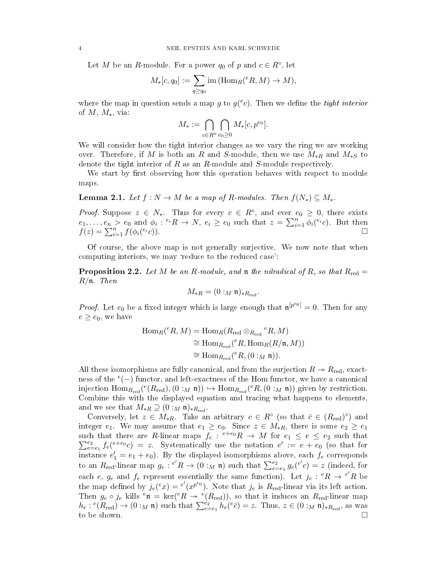Let M be an R-module. For a power  $q_0$  of p and  $c \in R^\circ$ , let

$$
M_*[c, q_0] := \sum_{q \ge q_0} \text{im} (\text{Hom}_R(^eR, M) \to M),
$$

where the map in question sends a map g to  $g(^ec)$ . Then we define the *tight interior* of  $M$ ,  $M_*$ , via:

$$
M_*:=\bigcap_{c\in R^o}\bigcap_{e_0\geq 0}M_*[c,p^{e_0}].
$$

We will consider how the tight interior changes as we vary the ring we are working over. Therefore, if M is both an R and S-module, then we use  $M_{*R}$  and  $M_{*S}$  to denote the tight interior of  $R$  as an  $R$ -module and  $S$ -module respectively.

We start by first observing how this operation behaves with respect to module maps.

<span id="page-3-1"></span>**Lemma 2.1.** Let  $f: N \to M$  be a map of R-modules. Then  $f(N_*) \subset M_*$ .

*Proof.* Suppose  $z \in N_*$ . Thus for every  $c \in R^{\circ}$ , and ever  $e_0 \geq 0$ , there exists  $e_1, \ldots, e_n > e_0$  and  $\phi_i : e_i R \to N$ ,  $e_i \ge e_0$  such that  $z = \sum_{i=1}^n \phi_i(e_i c)$ . But then  $f(z) = \sum_{i=1}^{n} f(\phi_i({}^{e_i}c)).$ 

Of course, the above map is not generally surjective. We now note that when computing interiors, we may 'reduce to the reduced case':

<span id="page-3-0"></span>**Proposition 2.2.** Let M be an R-module, and **n** the nilradical of R, so that  $R_{\text{red}} =$ R/n. Then

$$
M_{*R} = (0:_{M} \mathfrak{n})_{*R_{\text{red}}}.
$$

*Proof.* Let  $e_0$  be a fixed integer which is large enough that  $\mathfrak{n}^{[p^{e_0}]} = 0$ . Then for any  $e \ge e_0$ , we have

$$
\begin{aligned} \text{Hom}_{R}(^{e}R, M) &= \text{Hom}_{R}(R_{\text{red}} \otimes_{R_{\text{red}}} {^{e}R}, M) \\ &\cong \text{Hom}_{R_{\text{red}}}(^{e}R, \text{Hom}_{R}(R/\mathfrak{n}, M)) \\ &\cong \text{Hom}_{R_{\text{red}}}(^{e}R, (0:_{M}\mathfrak{n})). \end{aligned}
$$

All these isomorphisms are fully canonical, and from the surjection  $R \rightarrow R_{\text{red}}$ , exactness of the  $e(-)$  functor, and left-exactness of the Hom functor, we have a canonical injection  $\text{Hom}_{R_{\text{red}}}(\mathcal{C}(R_{\text{red}}), (0:_{M} \mathfrak{n})) \hookrightarrow \text{Hom}_{R_{\text{red}}}(\mathcal{C}R, (0:_{M} \mathfrak{n}))$  given by restriction. Combine this with the displayed equation and tracing what happens to elements, and we see that  $M_{*R} \supseteq (0 :_M \mathfrak{n})_{*R_{\text{red}}}.$ 

Conversely, let  $z \in M_{*R}$ . Take an arbitrary  $c \in R^{\circ}$  (so that  $\bar{c} \in (R_{\text{red}})^{\circ}$ ) and integer  $e_1$ . We may assume that  $e_1 \ge e_0$ . Since  $z \in M_{*R}$ , there is some  $e_2 \ge e_1$ such that there are R-linear maps  $f_e: e^{+e_0}R \to M$  for  $e_1 \le e \le e_2$  such that  $\sum_{e=1}^{e_2}$  $e_{e=e_1}^{e_2} f_e(e^{+e_0}c) = z$ . Systematically use the notation  $e' := e + e_0$  (so that for instance  $e'_1 = e_1 + e_0$ . By the displayed isomorphisms above, each  $f_e$  corresponds to an  $R_{\text{red}}$ -linear map  $g_e: e'R \to (0: M \mathfrak{n})$  such that  $\sum_{e=e_1}^{e_2} g_e(e'c) = z$  (indeed, for each e,  $g_e$  and  $f_e$  represent essentially the same function). Let  $j_e: {^eR} \to {^{e'}R}$  be the map defined by  $j_e({}^e x) = {}^{e'}(x^{p^{e_0}})$ . Note that  $j_e$  is  $R_{\text{red}}$ -linear via its left action. Then  $g_e \circ j_e$  kills  $^e \mathfrak{n} = \ker(^eR \twoheadrightarrow e(R_{red}))$ , so that it induces an  $R_{red}$ -linear map  $h_e: e(R_{\text{red}}) \to (0:_M \mathfrak{n})$  such that  $\sum_{e=e_1}^{e_2} h_e(e_{\overline{c}}) = z$ . Thus,  $z \in (0:_M \mathfrak{n})_{*R_{\text{red}}}$ , as was to be shown.  $\square$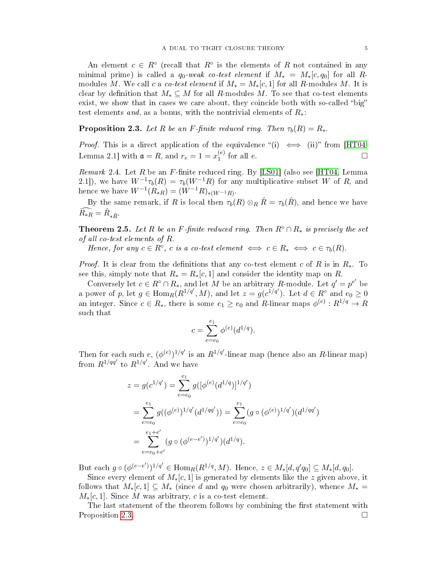An element  $c \in R^{\circ}$  (recall that  $R^{\circ}$  is the elements of R not contained in any minimal prime) is called a  $q_0$ -weak co-test element if  $M_* = M_*(c, q_0]$  for all Rmodules M. We call c a co-test element if  $M_* = M_*(c, 1]$  for all R-modules M. It is clear by definition that  $M_* \subseteq M$  for all R-modules M. To see that co-test elements exist, we show that in cases we care about, they coincide both with so-called "big" test elements and, as a bonus, with the nontrivial elements of  $R_*$ :

<span id="page-4-0"></span>**Proposition 2.3.** Let R be an F-finite reduced ring. Then  $\tau_b(R) = R_*$ .

*Proof.* This is a direct application of the equivalence "(i)  $\iff$  (ii)" from [\[HT04,](#page-23-0) Lemma 2.1] with  $\mathfrak{a} = R$ , and  $r_e = 1 = x_1^{(e)}$  $\binom{e}{1}$  for all e.

<span id="page-4-1"></span>Remark 2.4. Let R be an F-finite reduced ring. By [\[LS01\]](#page-23-1) (also see [\[HT04,](#page-23-0) Lemma 2.1]), we have  $W^{-1} \tau_b(R) = \tau_b(W^{-1}R)$  for any multiplicative subset W of R, and hence we have  $W^{-1}(R_{*R}) = (W^{-1}R)_{*(W^{-1}R)}$ .

By the same remark, if R is local then  $\tau_b(R) \otimes_R \hat{R} = \tau_b(\hat{R})$ , and hence we have  $\widehat{R_{*R}} = \widehat{R}_{* \widehat{R}}.$ 

<span id="page-4-2"></span>**Theorem 2.5.** Let R be an F-finite reduced ring. Then  $R^\circ \cap R_*$  is precisely the set of all co-test elements of R.

Hence, for any  $c \in R^{\circ}$ , c is a co-test element  $\iff c \in R_* \iff c \in \tau_b(R)$ .

*Proof.* It is clear from the definitions that any co-test element c of R is in  $R_*$ . To see this, simply note that  $R_* = R_*[c, 1]$  and consider the identity map on R.

Conversely let  $c \in R^{\circ} \cap R_{*}$ , and let M be an arbitrary R-module. Let  $q' = p^{e'}$  be a power of p, let  $g \in \text{Hom}_{R}(R^{1/q'}, M)$ , and let  $z = g(c^{1/q'})$ . Let  $d \in R^{\circ}$  and  $e_0 \geq 0$ an integer. Since  $c \in R_* ,$  there is some  $e_1 \geq e_0$  and  $R$ -linear maps  $\phi^{(e)} : R^{1/q} \to R$ such that

$$
c = \sum_{e=e_0}^{e_1} \phi^{(e)}(d^{1/q}).
$$

Then for each such  $e,$   $(\phi^{(e)})^{1/q'}$  is an  $R^{1/q'}$ -linear map (hence also an  $R$ -linear map) from  $R^{1/qq'}$  to  $R^{1/q'}$ . And we have

$$
z = g(c^{1/q'}) = \sum_{e=e_0}^{e_1} g([\phi^{(e)}(d^{1/q})]^{1/q'})
$$
  
= 
$$
\sum_{e=e_0}^{e_1} g((\phi^{(e)})^{1/q'}(d^{1/qq'})) = \sum_{e=e_0}^{e_1} (g \circ (\phi^{(e)})^{1/q'})(d^{1/qq'})
$$
  
= 
$$
\sum_{e=e_0+e'}^{e_1+e'} (g \circ (\phi^{(e-e')})^{1/q'})(d^{1/q}).
$$

But each  $g \circ (\phi^{(e-e')})^{1/q'} \in \text{Hom}_R(R^{1/q}, M)$ . Hence,  $z \in M_*[d, q'q_0] \subseteq M_*[d, q_0]$ .

Since every element of  $M_*(c, 1]$  is generated by elements like the z given above, it follows that  $M_*[c,1] \subseteq M_*$  (since d and  $q_0$  were chosen arbitrarily), whence  $M_* =$  $M_*[c,1]$ . Since M was arbitrary, c is a co-test element.

The last statement of the theorem follows by combining the first statement with Proposition [2.3.](#page-4-0)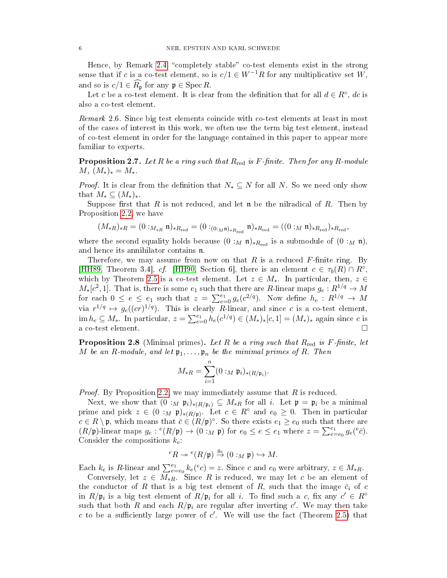Hence, by Remark  $2.4$ , "completely stable" co-test elements exist in the strong sense that if c is a co-test element, so is  $c/1 \in W^{-1}R$  for any multiplicative set W, and so is  $c/1 \in \widehat{R}_{\mathfrak{p}}$  for any  $\mathfrak{p} \in \operatorname{Spec} R$ .

Let c be a co-test element. It is clear from the definition that for all  $d \in R^{\circ}$ , dc is also a co-test element.

Remark 2.6. Since big test elements coincide with co-test elements at least in most of the cases of interest in this work, we often use the term big test element, instead of co-test element in order for the language contained in this paper to appear more familiar to experts.

**Proposition 2.7.** Let R be a ring such that  $R_{\text{red}}$  is F-finite. Then for any R-module  $M, (M_*)_* = M_*$ .

*Proof.* It is clear from the definition that  $N_* \subseteq N$  for all N. So we need only show that  $M_* \subseteq (M_*)_*$ .

Suppose first that R is not reduced, and let  $\mathfrak n$  be the nilradical of R. Then by Proposition [2.2,](#page-3-0) we have

$$
(M_{*R})_{*R} = (0:_{M_{*R}} \mathfrak{n})_{*R_{\text{red}}} = (0:_{(0:M\mathfrak{n})_{*R_{\text{red}}}} \mathfrak{n})_{*R_{\text{red}}} = ((0:_{M}\mathfrak{n})_{*R_{\text{red}}})_{*R_{\text{red}}},
$$

where the second equality holds because  $(0 :_M \mathfrak{n})_{*R_{\text{red}}}$  is a submodule of  $(0 :_M \mathfrak{n})$ , and hence its annihilator contains n.

Therefore, we may assume from now on that  $R$  is a reduced  $F$ -finite ring. By [\[HH89,](#page-23-6) Theorem 3.4], cf. [\[HH90,](#page-23-4) Section 6], there is an element  $c \in \tau_b(R) \cap R^\circ$ , which by Theorem [2.5](#page-4-2) is a co-test element. Let  $z \in M_*$ . In particular, then,  $z \in$  $M_*[c^2, 1]$ . That is, there is some  $e_1$  such that there are R-linear maps  $g_e: R^{1/q} \to M$ for each  $0 \le e \le e_1$  such that  $z = \sum_{e=0}^{e_1} g_e(c^{2/q})$ . Now define  $h_e: R^{1/q} \to M$ via  $r^{1/q} \mapsto g_e((cr)^{1/q})$ . This is clearly R-linear, and since c is a co-test element,  $\text{im } h_e \subseteq M_*$ . In particular,  $z = \sum_{e=0}^{e_1} h_e(c^{1/q}) \in (M_*)_*[c, 1] = (M_*)_*$  again since c is a co-test element.

<span id="page-5-0"></span>**Proposition 2.8** (Minimal primes). Let R be a ring such that  $R_{\text{red}}$  is F-finite, let M be an R-module, and let  $\mathfrak{p}_1,\ldots,\mathfrak{p}_n$  be the minimal primes of R. Then

$$
M_{*R}=\sum_{i=1}^n (0:_M\mathfrak{p}_i)_{*(R/\mathfrak{p}_i)}.
$$

*Proof.* By Proposition [2.2,](#page-3-0) we may immediately assume that  $R$  is reduced.

Next, we show that  $(0 :_M \mathfrak{p}_i)_{*(R/\mathfrak{p}_i)} \subseteq M_{*R}$  for all i. Let  $\mathfrak{p} = \mathfrak{p}_i$  be a minimal prime and pick  $z \in (0 :_M \mathfrak{p})_{*(R/\mathfrak{p})}$ . Let  $c \in R^{\circ}$  and  $e_0 \geq 0$ . Then in particular  $c \in R \setminus \mathfrak{p}$ , which means that  $\bar{c} \in (R/\mathfrak{p})^{\circ}$ . So there exists  $e_1 \geq e_0$  such that there are  $(R/\mathfrak{p})$ -linear maps  $g_e: {}^e(R/\mathfrak{p}) \to (0:_M \mathfrak{p})$  for  $e_0 \le e \le e_1$  where  $z = \sum_{e=e_0}^{e_1} g_e({}^e\bar{e}).$ Consider the compositions  $k_e$ :

$$
{}^eR \twoheadrightarrow {}^e(R/\mathfrak{p}) \stackrel{g_e}{\rightarrow} (0:{}_M\mathfrak{p}) \hookrightarrow M.
$$

Each  $k_e$  is R-linear and  $\sum_{e=e_0}^{e_1} k_e(e_c) = z$ . Since c and  $e_0$  were arbitrary,  $z \in M_{*R}$ .

Conversely, let  $z \in M_{*R}$ . Since R is reduced, we may let c be an element of the conductor of R that is a big test element of R, such that the image  $\bar{c}_i$  of c in  $R/\mathfrak{p}_i$  is a big test element of  $R/\mathfrak{p}_i$  for all i. To find such a c, fix any  $c' \in R^{\circ}$ such that both R and each  $R/\mathfrak{p}_i$  are regular after inverting  $c'$ . We may then take c to be a sufficiently large power of  $c'$ . We will use the fact (Theorem [2.5\)](#page-4-2) that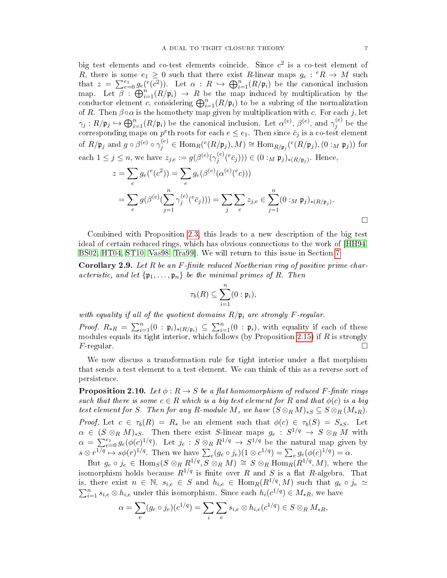big test elements and co-test elements coincide. Since  $c^2$  is a co-test element of R, there is some  $e_1 \geq 0$  such that there exist R-linear maps  $g_e: {}^eR \to M$  such that  $z = \sum_{e=0}^{e_1} g_e(e(c^2))$ . Let  $\alpha : R \hookrightarrow \bigoplus_{i=1}^n (R/\mathfrak{p}_i)$  be the canonical inclusion map. Let  $\beta$ :  $\bigoplus_{i=1}^n (R/\mathfrak{p}_i) \to R$  be the map induced by multiplication by the conductor element c, considering  $\bigoplus_{i=1}^n (R/\mathfrak{p}_i)$  to be a subring of the normalization of R. Then  $\beta \circ \alpha$  is the homothety map given by multiplication with c. For each j, let  $\gamma_j:R/\frak{p}_j\hookrightarrow \bigoplus_{i=1}^n (R/\frak{p}_i)$  be the canonical inclusion. Let  $\alpha^{(e)},\,\beta^{(e)},$  and  $\gamma^{(e)}_j$  $j^{(e)}$  be the corresponding maps on  $p^e$ th roots for each  $e \leq e_1$ . Then since  $\bar{c}_j$  is a co-test element of  $R/\frak{p}_j$  and  $g \circ \beta^{(e)} \circ \gamma_j^{(e)} \in \text{Hom}_R(e(R/\frak{p}_j),M) \cong \text{Hom}_{R/\frak{p}_j}(e(R/\frak{p}_j),(0:_M\frak{p}_j))$  for each  $1 \leq j \leq n$ , we have  $z_{j,e} := g(\beta^{(e)}(\gamma_j^{(e)}))$  $(j^{(e)}(\bar{e}_{\bar{G}}))) \in (0:_{M} \mathfrak{p}_{j})_{*(R/\mathfrak{p}_{j})}$ . Hence,

$$
z = \sum_{e} g_e({}^e(c^2)) = \sum_{e} g_e(\beta^{(e)}(\alpha^{(e)}(^e c)))
$$
  
= 
$$
\sum_{e} g(\beta^{(e)}(\sum_{j=1}^n \gamma_j^{(e)}({}^e \bar{c}_j))) = \sum_{j} \sum_{e} z_{j,e} \in \sum_{j=1}^n (0 :_M \mathfrak{p}_j)_{*(R/\mathfrak{p}_j)}.
$$

Combined with Proposition [2.3,](#page-4-0) this leads to a new description of the big test ideal of certain reduced rings, which has obvious connections to the work of [\[HH94,](#page-23-7) [BS02,](#page-22-4) [HT04,](#page-23-0) [ST10,](#page-23-5) [Vas98,](#page-23-8) [Tra99\]](#page-23-9). We will return to this issue in Section [7:](#page-19-0)

**Corollary 2.9.** Let R be an F-finite reduced Noetherian ring of positive prime characteristic, and let  $\{\mathfrak{p}_1,\ldots,\mathfrak{p}_n\}$  be the minimal primes of R. Then

$$
\tau_b(R)\subseteq \sum_{i=1}^n (0:\mathfrak{p}_i),
$$

with equality if all of the quotient domains  $R/\mathfrak{p}_i$  are strongly F-regular.

*Proof.*  $R_{*R} = \sum_{i=1}^{n} (0 : \mathfrak{p}_i)_{*(R/\mathfrak{p}_i)} \subseteq \sum_{i=1}^{n} (0 : \mathfrak{p}_i)$ , with equality if each of these modules equals its tight interior, which follows (by Proposition [2.15\)](#page-7-0) if  $R$  is strongly  $F$ -regular.

We now discuss a transformation rule for tight interior under a flat morphism that sends a test element to a test element. We can think of this as a reverse sort of persistence.

<span id="page-6-0"></span>**Proposition 2.10.** Let  $\phi: R \to S$  be a flat homomorphism of reduced F-finite rings such that there is some  $c \in R$  which is a big test element for R and that  $\phi(c)$  is a big test element for S. Then for any R-module M, we have  $(S \otimes_R M)_{*S} \subseteq S \otimes_R (M_{*R})$ . Proof. Let  $c \in \tau_b(R) = R_*$  be an element such that  $\phi(c) \in \tau_b(S) = S_{*S}$ . Let  $\alpha \in (S \otimes_R M)_{*S}$ . Then there exist S-linear maps  $g_e \, : \, S^{1/q} \, \to \, S \otimes_R M$  with  $\alpha = \sum_{e=0}^{e_1} g_e(\phi(c)^{1/q})$ . Let  $j_e : S \otimes_R R^{1/q} \to S^{1/q}$  be the natural map given by  $s \otimes r^{1/q} \mapsto s\phi(r)^{1/q}$ . Then we have  $\sum_e (g_e \circ j_e)(1 \otimes c^{1/q}) = \sum_e g_e(\phi(c)^{1/q}) = \alpha$ .

But  $g_e \circ j_e \in \text{Hom}_S(S \otimes_R R^{1/q}, S \otimes_R M) \cong S \otimes_R \text{Hom}_R(R^{1/q}, M)$ , where the isomorphism holds because  $R^{1/q}$  is finite over R and S is a flat R-algebra. That is, there exist  $n \in \mathbb{N}$ ,  $s_{i,e} \in S$  and  $h_{i,e} \in \text{Hom}_R(R^{1/q}, M)$  such that  $g_e \circ j_e \simeq$  $\sum_{i=1}^{n} s_{i,e} \otimes h_{i,e}$  under this isomorphism. Since each  $h_i(c^{1/q}) \in M_{*R}$ , we have

$$
\alpha = \sum_e (g_e \circ j_e)(c^{1/q}) = \sum_i \sum_e s_{i,e} \otimes h_{i,e}(c^{1/q}) \in S \otimes_R M_{*R},
$$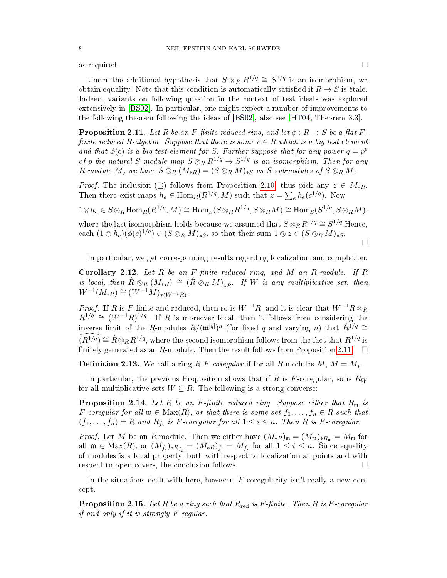as required.  $\square$ 

Under the additional hypothesis that  $S \otimes_R R^{1/q} \cong S^{1/q}$  is an isomorphism, we obtain equality. Note that this condition is automatically satisfied if  $R \to S$  is étale. Indeed, variants on following question in the context of test ideals was explored extensively in [\[BS02\]](#page-22-4). In particular, one might expect a number of improvements to the following theorem following the ideas of [\[BS02\]](#page-22-4), also see [\[HT04,](#page-23-0) Theorem 3.3].

<span id="page-7-1"></span>**Proposition 2.11.** Let R be an F-finite reduced ring, and let  $\phi : R \to S$  be a flat Ffinite reduced R-algebra. Suppose that there is some  $c \in R$  which is a big test element and that  $\phi(c)$  is a big test element for S. Further suppose that for any power  $q = p^e$ of p the natural S-module map  $S\otimes_R R^{1/q}\to S^{1/q}$  is an isomorphism. Then for any R-module M, we have  $S \otimes_R (M_{*R}) = (S \otimes_R M)_{*S}$  as S-submodules of  $S \otimes_R M$ .

*Proof.* The inclusion  $(2)$  follows from Proposition [2.10,](#page-6-0) thus pick any  $z \in M_{*R}$ . Then there exist maps  $h_e \in \text{Hom}_R(R^{1/q}, M)$  such that  $z = \sum_e h_e(c^{1/q})$ . Now

 $1 \otimes h_e \in S \otimes_R \text{Hom}_R(R^{1/q}, M) \cong \text{Hom}_S(S \otimes_R R^{1/q}, S \otimes_R M) \cong \text{Hom}_S(S^{1/q}, S \otimes_R M).$ 

where the last isomorphism holds because we assumed that  $S \otimes_R R^{1/q} \cong S^{1/q}$  Hence, each  $(1 \otimes h_e)(\phi(c)^{1/q}) \in (S \otimes_R M)_{*S}$ , so that their sum  $1 \otimes z \in (S \otimes_R M)_{*S}$ .

In particular, we get corresponding results regarding localization and completion:

Corollary 2.12. Let  $R$  be an  $F$ -finite reduced ring, and  $M$  an  $R$ -module. If  $R$ is local, then  $\hat{R} \otimes_R (M_{*R}) \cong (\hat{R} \otimes_R M)_{*\hat{R}}$ . If W is any multiplicative set, then  $W^{-1}(M_{*R}) \cong (W^{-1}M)_{*(W^{-1}R)}$ 

*Proof.* If R is F-finite and reduced, then so is  $W^{-1}R$ , and it is clear that  $W^{-1}R \otimes_R R$  $R^{1/q} \cong (W^{-1}R)^{1/q}$ . If R is moreover local, then it follows from considering the inverse limit of the R-modules  $R/(\mathfrak{m}^{[q]})^n$  (for fixed q and varying n) that  $\hat{R}^{1/q} \cong$ <br> $\widehat{R}^{1/q} \sim \widehat{R} \otimes R^{1/q}$  where the second isomorphism follows from the feat that  $R^{1/q}$  is  $(\widehat{R}^{1/q}) \cong \widehat{R} \otimes_R R^{1/q}$ , where the second isomorphism follows from the fact that  $R^{1/q}$  is finitely generated as an R-module. Then the result follows from Proposition [2.11.](#page-7-1)  $\Box$ 

**Definition 2.13.** We call a ring R F-coregular if for all R-modules M,  $M = M_*$ .

In particular, the previous Proposition shows that if R is  $F$ -coregular, so is  $R_W$ for all multiplicative sets  $W \subseteq R$ . The following is a strong converse:

**Proposition 2.14.** Let R be an F-finite reduced ring. Suppose either that  $R_m$  is F-coregular for all  $\mathfrak{m} \in \text{Max}(R)$ , or that there is some set  $f_1, \ldots, f_n \in R$  such that  $(f_1,\ldots,f_n)=R$  and  $R_{f_i}$  is F-coregular for all  $1\leq i\leq n$ . Then R is F-coregular.

*Proof.* Let M be an R-module. Then we either have  $(M_{*R})_{\mathfrak{m}} = (M_{\mathfrak{m}})_{*R_{\mathfrak{m}}} = M_{\mathfrak{m}}$  for all  $\mathfrak{m} \in \text{Max}(R)$ , or  $(M_{f_i})_{*R_{f_i}} = (M_{*R})_{f_i} = M_{f_i}$  for all  $1 \leq i \leq n$ . Since equality of modules is a local property, both with respect to localization at points and with respect to open covers, the conclusion follows.

In the situations dealt with here, however, F-coregularity isn't really a new concept.

<span id="page-7-0"></span>**Proposition 2.15.** Let R be a ring such that  $R_{\text{red}}$  is F-finite. Then R is F-coregular if and only if it is strongly F-regular.

 $\Box$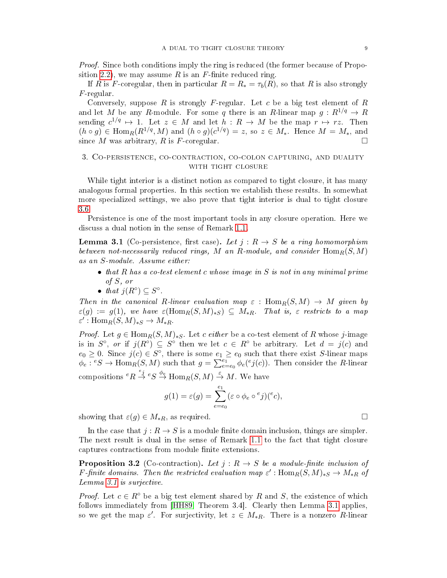*Proof.* Since both conditions imply the ring is reduced (the former because of Propo-sition [2.2\)](#page-3-0), we may assume R is an F-finite reduced ring.

If R is F-coregular, then in particular  $R = R_* = \tau_b(R)$ , so that R is also strongly  $F$ -regular.

Conversely, suppose  $R$  is strongly  $F$ -regular. Let  $c$  be a big test element of  $R$ and let M be any R-module. For some q there is an R-linear map  $g: R^{1/q} \to R$ sending  $c^{1/q} \mapsto 1$ . Let  $z \in M$  and let  $h : R \to M$  be the map  $r \mapsto rz$ . Then  $(h \circ g) \in \text{Hom}_{R}(R^{1/q}, M)$  and  $(h \circ g)(c^{1/q}) = z$ , so  $z \in M_{*}$ . Hence  $M = M_{*}$ , and since M was arbitrary, R is F-coregular.

# 3. Co-persistence, co-contraction, co-colon capturing, and duality WITH TIGHT CLOSURE

While tight interior is a distinct notion as compared to tight closure, it has many analogous formal properties. In this section we establish these results. In somewhat more specialized settings, we also prove that tight interior is dual to tight closure [3.6.](#page-10-0)

Persistence is one of the most important tools in any closure operation. Here we discuss a dual notion in the sense of Remark [1.1.](#page-2-1)

<span id="page-8-0"></span>**Lemma 3.1** (Co-persistence, first case). Let  $j: R \rightarrow S$  be a ring homomorphism between not-necessarily reduced rings, M an R-module, and consider  $\text{Hom}_R(S, M)$ as an S-module. Assume either:

- that R has a co-test element c whose image in S is not in any minimal prime of S, or
- that  $j(R^{\circ}) \subseteq S^{\circ}$ .

Then in the canonical R-linear evaluation map  $\varepsilon$  :  $\text{Hom}_R(S, M) \to M$  given by  $\varepsilon(g) := g(1)$ , we have  $\varepsilon(\text{Hom}_R(S,M)_{*S}) \subseteq M_{*R}$ . That is,  $\varepsilon$  restricts to a map  $\varepsilon' : \text{Hom}_R(S, M)_{*S} \to M_{*R}.$ 

*Proof.* Let  $g \in \text{Hom}_{R}(S, M)_{*S}$ . Let c either be a co-test element of R whose j-image is in  $S^{\circ}$ , or if  $j(R^{\circ}) \subseteq S^{\circ}$  then we let  $c \in R^{\circ}$  be arbitrary. Let  $d = j(c)$  and  $e_0 \geq 0$ . Since  $j(c) \in S^{\circ}$ , there is some  $e_1 \geq e_0$  such that there exist S-linear maps  $\phi_e$ :  ${}^eS \to \text{Hom}_R(S, M)$  such that  $g = \sum_{e=e_0}^{e_1} \phi_e({}^e j(c))$ . Then consider the R-linear compositions  ${}^eR \stackrel{e_j}{\rightarrow} {}^eS \stackrel{\phi_e}{\rightarrow} \text{Hom}_R(S, M) \stackrel{\varepsilon}{\rightarrow} M$ . We have

$$
g(1) = \varepsilon(g) = \sum_{e=e_0}^{e_1} (\varepsilon \circ \phi_e \circ ^e j)(e^e c),
$$

showing that  $\varepsilon(g) \in M_{*R}$ , as required.

In the case that  $j: R \to S$  is a module finite domain inclusion, things are simpler. The next result is dual in the sense of Remark [1.1](#page-2-1) to the fact that tight closure captures contractions from module finite extensions.

<span id="page-8-1"></span>**Proposition 3.2** (Co-contraction). Let  $j: R \to S$  be a module-finite inclusion of F-finite domains. Then the restricted evaluation map  $\varepsilon'$ : Hom $_R(S, M)_{*S} \to M_{*R}$  of Lemma [3.1](#page-8-0) is surjective.

*Proof.* Let  $c \in \mathbb{R}^{\circ}$  be a big test element shared by R and S, the existence of which follows immediately from [\[HH89,](#page-23-6) Theorem 3.4]. Clearly then Lemma [3.1](#page-8-0) applies, so we get the map  $\varepsilon'$ . For surjectivity, let  $z \in M_{*R}$ . There is a nonzero R-linear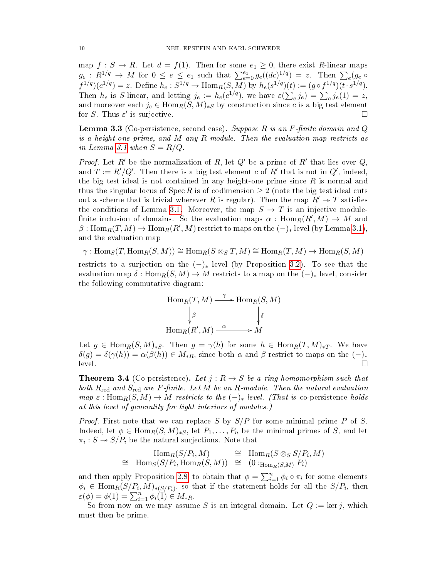map  $f : S \to R$ . Let  $d = f(1)$ . Then for some  $e_1 \geq 0$ , there exist R-linear maps  $g_e: R^{1/q} \to M$  for  $0 \le e \le e_1$  such that  $\sum_{e=0}^{e_1} g_e((dc)^{1/q}) = z$ . Then  $\sum_e (g_e \circ$  $f^{1/q})(c^{1/q}) = z$ . Define  $h_e: S^{1/q} \to \text{Hom}_R(S, M)$  by  $h_e(s^{1/q})(t) := (g \circ f^{1/q})(t \cdot s^{1/q})$ . Then  $h_e$  is S-linear, and letting  $j_e := h_e(c^{1/q})$ , we have  $\varepsilon(\sum_e j_e) = \sum_e j_e(1) = z$ , and moreover each  $j_e \in \text{Hom}_R(S, M)_{*S}$  by construction since c is a big test element for S. Thus  $\varepsilon'$  is surjective.

<span id="page-9-1"></span>**Lemma 3.3** (Co-persistence, second case). Suppose R is an F-finite domain and Q is a height one prime, and  $M$  any  $R$ -module. Then the evaluation map restricts as in Lemma [3.1](#page-8-0) when  $S = R/Q$ .

*Proof.* Let R' be the normalization of R, let Q' be a prime of R' that lies over Q, and  $T := R'/Q'$ . Then there is a big test element c of  $R'$  that is not in  $Q'$ , indeed, the big test ideal is not contained in any height-one prime since  $R$  is normal and thus the singular locus of  $Spec R$  is of codimension  $\geq 2$  (note the big test ideal cuts out a scheme that is trivial wherever R is regular). Then the map  $R' \rightarrow T$  satisfies the conditions of Lemma [3.1.](#page-8-0) Moreover, the map  $S \to T$  is an injective modulefinite inclusion of domains. So the evaluation maps  $\alpha$  :  $\operatorname{Hom}_R(R',M)\rightarrow M$  and  $\beta: \mathrm{Hom}_R(T,M) \to \mathrm{Hom}_R(R',M)$  restrict to maps on the  $(-)_*$  level (by Lemma [3.1\)](#page-8-0), and the evaluation map

$$
\gamma: \operatorname{Hom}_S(T, \operatorname{Hom}_R(S, M)) \cong \operatorname{Hom}_R(S \otimes_S T, M) \cong \operatorname{Hom}_R(T, M) \to \operatorname{Hom}_R(S, M)
$$

restricts to a surjection on the  $(-)_*$  level (by Proposition [3.2\)](#page-8-1). To see that the evaluation map  $\delta : \text{Hom}_R(S, M) \to M$  restricts to a map on the  $(-)_*$  level, consider the following commutative diagram:

$$
\text{Hom}_R(T, M) \xrightarrow{\gamma} \text{Hom}_R(S, M)
$$
\n
$$
\downarrow^{\beta} \qquad \qquad \downarrow^{\delta}
$$
\n
$$
\text{Hom}_R(R', M) \xrightarrow{\alpha} M
$$

Let  $g \in \text{Hom}_{R}(S, M)_{*S}$ . Then  $g = \gamma(h)$  for some  $h \in \text{Hom}_{R}(T, M)_{*T}$ . We have  $\delta(g) = \delta(\gamma(h)) = \alpha(\beta(h)) \in M_{*R}$ , since both  $\alpha$  and  $\beta$  restrict to maps on the  $(-)_*$  $\overline{\text{level}}$ .

<span id="page-9-0"></span>**Theorem 3.4** (Co-persistence). Let  $j: R \rightarrow S$  be a ring homomorphism such that both  $R_{\text{red}}$  and  $S_{\text{red}}$  are F-finite. Let M be an R-module. Then the natural evaluation  $map \varepsilon : \text{Hom}_R(S, M) \to M$  restricts to the  $(-)_*$  level. (That is co-persistence holds at this level of generality for tight interiors of modules.)

*Proof.* First note that we can replace S by  $S/P$  for some minimal prime P of S. Indeed, let  $\phi \in \text{Hom}_{R}(S, M)_{*S}$ , let  $P_1, \ldots, P_n$  be the minimal primes of S, and let  $\pi_i: S \twoheadrightarrow S/P_i$  be the natural surjections. Note that

$$
\text{Hom}_{R}(S/P_i, M) \cong \text{Hom}_{R}(S \otimes_{S} S/P_i, M)
$$
  

$$
\cong \text{Hom}_{S}(S/P_i, \text{Hom}_{R}(S, M)) \cong (0 :_{\text{Hom}_{R}(S, M)} P_i)
$$

and then apply Proposition [2.8,](#page-5-0) to obtain that  $\phi = \sum_{i=1}^{n} \phi_i \circ \pi_i$  for some elements  $\phi_i \in \text{Hom}_R(S/P_i, M)_{\ast (S/P_i)},$  so that if the statement holds for all the  $S/P_i,$  then  $\varepsilon(\phi) = \phi(1) = \sum_{i=1}^n \phi_i(\overline{1}) \in M_{*R}.$ 

So from now on we may assume S is an integral domain. Let  $Q := \text{ker } j$ , which must then be prime.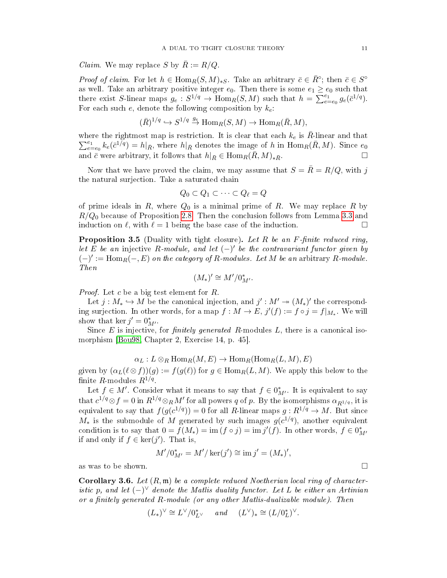*Claim.* We may replace S by  $R := R/Q$ .

*Proof of claim.* For let  $h \in \text{Hom}_R(S, M)_{*S}$ . Take an arbitrary  $\bar{c} \in \bar{R}^{\circ}$ ; then  $\bar{c} \in S^{\circ}$ as well. Take an arbitrary positive integer  $e_0$ . Then there is some  $e_1 \geq e_0$  such that there exist S-linear maps  $g_e : S^{1/q} \to \text{Hom}_R(S, M)$  such that  $h = \sum_{e=e_0}^{e_1} g_e(\bar{c}^{1/q})$ . For each such  $e$ , denote the following composition by  $k_e$ .

$$
(\bar{R})^{1/q} \hookrightarrow S^{1/q} \stackrel{g_e}{\to} \text{Hom}_R(S, M) \to \text{Hom}_R(\bar{R}, M),
$$

where the rightmost map is restriction. It is clear that each  $k_e$  is  $\bar{R}$ -linear and that  $\sum_{e}^{e_1}$  $e_{e=e_0}^{e_1} k_e(\bar{c}^{1/q}) = h|_{\bar{R}},$  where  $h|_{\bar{R}}$  denotes the image of h in  $\text{Hom}_R(\bar{R}, M)$ . Since  $e_0$ and  $\bar{c}$  were arbitrary, it follows that  $h|_{\bar{R}} \in \text{Hom}_{R}(\bar{R}, M)_{*R}$ .

Now that we have proved the claim, we may assume that  $S = \bar{R} = R/Q$ , with j the natural surjection. Take a saturated chain

$$
Q_0 \subset Q_1 \subset \cdots \subset Q_\ell = Q
$$

of prime ideals in  $R$ , where  $Q_0$  is a minimal prime of  $R$ . We may replace  $R$  by  $R/Q_0$  because of Proposition [2.8.](#page-5-0) Then the conclusion follows from Lemma [3.3](#page-9-1) and induction on  $\ell$ , with  $\ell = 1$  being the base case of the induction.

<span id="page-10-1"></span>**Proposition 3.5** (Duality with tight closure). Let R be an F-finite reduced ring, let E be an injective R-module, and let  $(-)'$  be the contravariant functor given by  $(-)' := \text{Hom}_{R}(-, E)$  on the category of R-modules. Let M be an arbitrary R-module. Then

$$
(M_*)'\cong M'/0^*_{M'}.
$$

*Proof.* Let c be a big test element for  $R$ .

Let  $j: M_* \hookrightarrow M$  be the canonical injection, and  $j': M' \twoheadrightarrow (M_*)'$  the corresponding surjection. In other words, for a map  $f: M \to E$ ,  $j'(f) := f \circ j = f|_{M_*}$ . We will show that ker  $j' = 0^*_{M'}$ .

Since  $E$  is injective, for *finitely generated*  $R$ -modules  $L$ , there is a canonical isomorphism [\[Bou98,](#page-22-5) Chapter 2, Exercise 14, p. 45].

 $\alpha_L : L \otimes_R \text{Hom}_R(M, E) \to \text{Hom}_R(\text{Hom}_R(L, M), E)$ 

given by  $(\alpha_L(\ell \otimes f))(g) := f(g(\ell))$  for  $g \in \text{Hom}_R(L, M)$ . We apply this below to the finite R modules  $R^{1/q}$ .

Let  $f \in M'$ . Consider what it means to say that  $f \in 0^*_{M'}$ . It is equivalent to say that  $c^{1/q} \otimes f = 0$  in  $R^{1/q} \otimes_R M'$  for all powers q of p. By the isomorphisms  $\alpha_{R^{1/q}}$ , it is equivalent to say that  $f(g(c^{1/q})) = 0$  for all R-linear maps  $g : R^{1/q} \to M$ . But since  $M_*$  is the submodule of  $M$  generated by such images  $g(c^{1/q})$ , another equivalent condition is to say that  $0 = f(M_*) = \text{im} (f \circ j) = \text{im} j'(f)$ . In other words,  $f \in 0^*_{M'}$ if and only if  $f \in \text{ker}(j')$ . That is,

$$
M'/0^*_{M'} = M'/\ker(j') \cong \text{im } j' = (M_*)',
$$

as was to be shown.  $\square$ 

<span id="page-10-0"></span>**Corollary 3.6.** Let  $(R, \mathfrak{m})$  be a complete reduced Noetherian local ring of characteristic p, and let  $(-)^\vee$  denote the Matlis duality functor. Let L be either an Artinian or a finitely generated  $R$ -module (or any other Matlis-dualizable module). Then

$$
(L_*)^\vee\cong L^\vee/0^*_{L^\vee}\qquad and \qquad (L^\vee)_*\cong (L/0^*_L)^\vee.
$$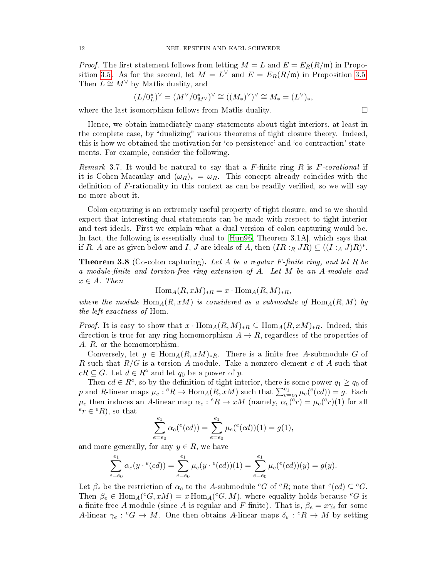*Proof.* The first statement follows from letting  $M = L$  and  $E = E_R(R/\mathfrak{m})$  in Propo-sition [3.5.](#page-10-1) As for the second, let  $M = L^{\vee}$  and  $E = E_R(R/\mathfrak{m})$  in Proposition 3.5. Then  $L \cong M^{\vee}$  by Matlis duality, and

$$
(L/0_L^*)^\vee = (M^\vee/0_{M^\vee}^*)^\vee \cong ((M_*)^\vee)^\vee \cong M_* = (L^\vee)_*,
$$

where the last isomorphism follows from Matlis duality.

Hence, we obtain immediately many statements about tight interiors, at least in the complete case, by "dualizing" various theorems of tight closure theory. Indeed, this is how we obtained the motivation for `co-persistence' and `co-contraction' statements. For example, consider the following.

*Remark* 3.7. It would be natural to say that a  $F$ -finite ring  $R$  is  $F$ -corational if it is Cohen-Macaulay and  $(\omega_R)_* = \omega_R$ . This concept already coincides with the definition of  $F$ -rationality in this context as can be readily verified, so we will say no more about it.

Colon capturing is an extremely useful property of tight closure, and so we should expect that interesting dual statements can be made with respect to tight interior and test ideals. First we explain what a dual version of colon capturing would be. In fact, the following is essentially dual to [\[Hun96,](#page-23-10) Theorem 3.1A], which says that if R, A are as given below and I, J are ideals of A, then  $(IR:_{R} JR) \subseteq ((I:_{A} J)R)^{*}$ .

<span id="page-11-0"></span>**Theorem 3.8** (Co-colon capturing). Let A be a regular F-finite ring, and let R be a module-finite and torsion-free ring extension of A. Let M be an A-module and  $x \in A$ . Then

$$
Hom_A(R, xM)_{*R} = x \cdot Hom_A(R, M)_{*R},
$$

where the module  $\text{Hom}_{A}(R, xM)$  is considered as a submodule of  $\text{Hom}_{A}(R, M)$  by the left-exactness of Hom.

*Proof.* It is easy to show that  $x \cdot \text{Hom}_{A}(R, M)_{*R} \subseteq \text{Hom}_{A}(R, xM)_{*R}$ . Indeed, this direction is true for any ring homomorphism  $A \to R$ , regardless of the properties of A, R, or the homomorphism.

Conversely, let  $g \in \text{Hom}_{A}(R, xM)_{*R}$ . There is a finite free A-submodule G of R such that  $R/G$  is a torsion A-module. Take a nonzero element c of A such that  $cR \subseteq G$ . Let  $d \in R^{\circ}$  and let  $q_0$  be a power of p.

Then  $cd \in R^{\circ}$ , so by the definition of tight interior, there is some power  $q_1 \geq q_0$  of p and R-linear maps  $\mu_e$ :  ${}^eR \to \text{Hom}_A(R, xM)$  such that  $\sum_{e=e_0}^{e_1} \mu_e({}^e(cd)) = g$ . Each  $\mu_e$  then induces an A-linear map  $\alpha_e$ :  ${}^eR \to xM$  (namely,  $\alpha_e({}^e r) = \mu_e({}^e r)(1)$  for all  $e^e r \in {}^eR)$ , so that

$$
\sum_{e=e_0}^{e_1} \alpha_e({}^e(cd)) = \sum_{e=e_0}^{e_1} \mu_e({}^e(cd))(1) = g(1),
$$

and more generally, for any  $y \in R$ , we have

$$
\sum_{e=e_0}^{e_1} \alpha_e(y \cdot ^e(cd)) = \sum_{e=e_0}^{e_1} \mu_e(y \cdot ^e(cd))(1) = \sum_{e=e_0}^{e_1} \mu_e({}^e(cd))(y) = g(y).
$$

Let  $\beta_e$  be the restriction of  $\alpha_e$  to the A-submodule  ${}^eG$  of  ${}^eR$ ; note that  ${}^e(cd) \subseteq {}^eG$ . Then  $\beta_e \in \text{Hom}_A(eG, xM) = x \text{Hom}_A(eG, M)$ , where equality holds because  $eG$  is a finite free A-module (since A is regular and F-finite). That is,  $\beta_e = x\gamma_e$  for some A-linear  $\gamma_e$ :  $^eG \to M$ . One then obtains A-linear maps  $\delta_e$ :  $^eR \to M$  by setting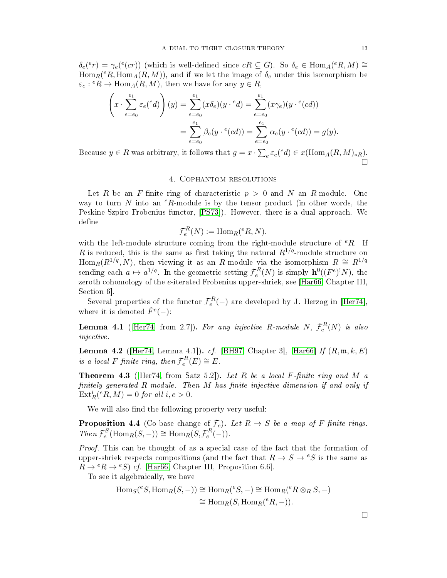$\delta_e^{\text{(e}}(e) = \gamma_e^{\text{(e}}(er))$  (which is well-defined since  $cR \subseteq G$ ). So  $\delta_e \in \text{Hom}_A(eR, M) \cong$  $\operatorname{Hom}_R(eR, \operatorname{Hom}_A(R, M))$ , and if we let the image of  $\delta_e$  under this isomorphism be  $\varepsilon_e$ :  $eR \to \text{Hom}_A(R, M)$ , then we have for any  $y \in R$ ,

$$
\left(x \cdot \sum_{e=e_0}^{e_1} \varepsilon_e({}^e d)\right)(y) = \sum_{e=e_0}^{e_1} (x \delta_e)(y \cdot {}^e d) = \sum_{e=e_0}^{e_1} (x \gamma_e)(y \cdot {}^e (cd))
$$

$$
= \sum_{e=e_0}^{e_1} \beta_e(y \cdot {}^e (cd)) = \sum_{e=e_0}^{e_1} \alpha_e(y \cdot {}^e (cd)) = g(y).
$$

Because  $y \in R$  was arbitrary, it follows that  $g = x \cdot \sum_{e} \varepsilon_e(ed) \in x(\text{Hom}_A(R, M)_{*R})$ . 'n

#### 4. Cophantom resolutions

<span id="page-12-0"></span>Let R be an F-finite ring of characteristic  $p > 0$  and N an R-module. One way to turn N into an  ${}^eR$ -module is by the tensor product (in other words, the Peskine-Szpiro Frobenius functor, [\[PS73\]](#page-23-11)). However, there is a dual approach. We define

$$
\mathcal{F}_e^R(N) := \text{Hom}_R(^eR, N).
$$

with the left-module structure coming from the right-module structure of  ${}^eR$ . If R is reduced, this is the same as first taking the natural  $R^{1/q}$ -module structure on Hom $_R(R^{1/q}, N)$ , then viewing it as an R-module via the isomorphism  $R \cong R^{1/q}$ sending each  $a \mapsto a^{1/q}$ . In the geometric setting  $\mathcal{F}_e^R(N)$  is simply  $\mathbf{h}^0((F^e)^!N)$ , the zeroth cohomology of the  $e$ -iterated Frobenius upper-shriek, see [\[Har66,](#page-23-12) Chapter III, Section 6].

Several properties of the functor  $\mathcal{F}_e^R(-)$  are developed by J. Herzog in [\[Her74\]](#page-23-13), where it is denoted  $\tilde{F}^e(-)$ :

**Lemma 4.1** ([\[Her74,](#page-23-13) from 2.7]). For any injective R-module N,  $\mathcal{F}_e^R(N)$  is also injective.

**Lemma 4.2** ([\[Her74,](#page-23-13) Lemma 4.1]). cf. [\[BH97,](#page-22-6) Chapter 3], [\[Har66\]](#page-23-12) If  $(R, m, k, E)$ is a local F-finite ring, then  $\mathcal{F}_e^R(E) \cong E$ .

<span id="page-12-1"></span>**Theorem 4.3** (Her74, from Satz 5.2)). Let R be a local F-finite ring and M a finitely generated  $R$ -module. Then  $M$  has finite injective dimension if and only if  $\text{Ext}_{R}^{i}(^{e}R, M) = 0$  for all  $i, e > 0$ .

We will also find the following property very useful:

<span id="page-12-2"></span>**Proposition 4.4** (Co-base change of  $\mathcal{F}_e$ ). Let  $R \to S$  be a map of F-finite rings.  $Then \mathcal{F}_e^S(\text{Hom}_R(S,-)) \cong \text{Hom}_R(S, \mathcal{F}_e^R(-)).$ 

Proof. This can be thought of as a special case of the fact that the formation of upper-shriek respects compositions (and the fact that  $R \to S \to eS$  is the same as  $R \to {}^eR \to {}^eS$  of. [\[Har66,](#page-23-12) Chapter III, Proposition 6.6].

To see it algebraically, we have

$$
\text{Hom}_S(^eS, \text{Hom}_R(S, -)) \cong \text{Hom}_R(^eS, -) \cong \text{Hom}_R(^eR \otimes_R S, -)
$$

$$
\cong \text{Hom}_R(S, \text{Hom}_R(^eR, -)).
$$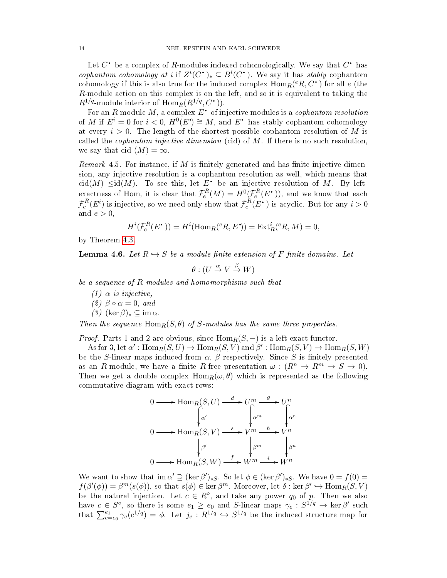Let  $C^{\scriptscriptstyle\bullet}$  be a complex of  $R$  modules indexed cohomologically. We say that  $C^{\scriptscriptstyle\bullet}$  has  $\ddot{\phantom{0}}$ q cophantom cohomology at i if  $Z^{i}(C^{\bullet})_{*} \subseteq B^{i}(C^{\bullet})$ . We say it has stably cophantom q q cohomology if this is also true for the induced complex  $\mathrm{Hom}_R(e_R, C^{\bullet})$  for all  $e$  (the R-module action on this complex is on the left, and so it is equivalent to taking the  $R^{1/q}$ -module interior of  $\text{Hom}_R(R^{1/q}, C^{\bullet})$ .

For an R-module M, a complex  $E^{\bullet}$  of injective modules is a *cophantom resolution* q of M if  $E^i = 0$  for  $i < 0$ ,  $H^0(E^{\bullet}) \cong M$ , and  $E^{\bullet}$  has stably cophantom cohomology **e** q at every  $i > 0$ . The length of the shortest possible cophantom resolution of M is called the *cophantom injective dimension* (cid) of  $M$ . If there is no such resolution, we say that cid  $(M) = \infty$ .

<span id="page-13-1"></span>Remark 4.5. For instance, if M is finitely generated and has finite injective dimension, any injective resolution is a cophantom resolution as well, which means that cid(M)  $\leq id(M)$ . To see this, let E<sup>\*</sup> be an injective resolution of M. By leftq exactness of Hom, it is clear that  $\mathcal{F}_e^R(M) = H^0(\mathcal{F}_e^R(E^{\bullet})),$  and we know that each q  $\mathcal{F}_e^R(E^i)$  is injective, so we need only show that  $\mathcal{F}_e^R(E^{\bullet})$  is acyclic. But for any  $i > 0$ q and  $e > 0$ ,

$$
H^{i}(\mathcal{F}_{e}^{R}(E^{\bullet})) = H^{i}(\text{Hom}_{R}(^{e}R, E^{\bullet})) = \text{Ext}_{R}^{i}(^{e}R, M) = 0,
$$

by Theorem [4.3.](#page-12-1)

<span id="page-13-0"></span>**Lemma 4.6.** Let  $R \hookrightarrow S$  be a module-finite extension of F-finite domains. Let

 $\theta: (U \overset{\alpha}{\to} V \overset{\beta}{\to} W)$ 

be a sequence of R-modules and homomorphisms such that

- (1)  $\alpha$  is injective,
- $(2)$   $\beta \circ \alpha = 0$ , and
- $(3)$  (ker  $\beta)_* \subseteq \text{im } \alpha$ .

Then the sequence  $\text{Hom}_R(S, \theta)$  of S-modules has the same three properties.

*Proof.* Parts 1 and 2 are obvious, since  $\text{Hom}_R(S, -)$  is a left-exact functor.

As for 3, let  $\alpha'$ :  $\text{Hom}_R(S, U) \to \text{Hom}_R(S, V)$  and  $\beta'$ :  $\text{Hom}_R(S, V) \to \text{Hom}_R(S, W)$ be the S-linear maps induced from  $\alpha$ ,  $\beta$  respectively. Since S is finitely presented as an R-module, we have a finite R-free presentation  $\omega : (R^n \to R^m \to S \to 0)$ . Then we get a double complex  $\text{Hom}_R(\omega, \theta)$  which is represented as the following commutative diagram with exact rows:

$$
0 \longrightarrow \operatorname{Hom}_R(S, U) \xrightarrow{d} U^m \xrightarrow{g} U^n
$$
  

$$
0 \longrightarrow \operatorname{Hom}_R(S, V) \xrightarrow{s} V^m \xrightarrow{h} V^n
$$
  

$$
\downarrow^{\beta'} \qquad \qquad \downarrow^{\beta^m} \qquad \downarrow^{\beta^m}
$$
  

$$
0 \longrightarrow \operatorname{Hom}_R(S, W) \xrightarrow{f} W^m \xrightarrow{i} W^n
$$

We want to show that  $\text{im } \alpha' \supseteq (\ker \beta')_{*S}$ . So let  $\phi \in (\ker \beta')_{*S}$ . We have  $0 = f(0) =$  $f(\beta'(\phi)) = \beta^m(s(\phi))$ , so that  $s(\phi) \in \ker \beta^m$ . Moreover, let  $\delta : \ker \beta' \hookrightarrow \text{Hom}_R(S, V)$ be the natural injection. Let  $c \in R^{\circ}$ , and take any power  $q_0$  of p. Then we also have  $c \in S^{\circ}$ , so there is some  $e_1 \ge e_0$  and S-linear maps  $\gamma_e : S^{1/q} \to \ker \beta'$  such that  $\sum_{e=e_0}^{e_1} \gamma_e(c^{1/q}) = \phi$ . Let  $j_e: R^{1/q} \hookrightarrow S^{1/q}$  be the induced structure map for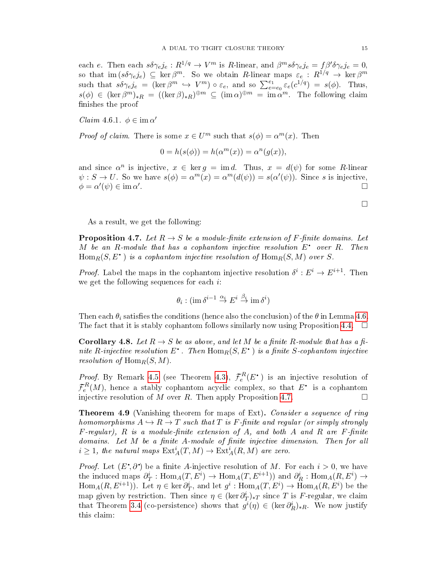each e. Then each  $s\delta\gamma_e j_e:R^{1/q}\to V^m$  is  $R$ -linear, and  $\beta^m s\delta\gamma_e j_e = f\beta'\delta\gamma_e j_e = 0,$ so that  $\text{im}(s\delta\gamma_e j_e) \subseteq \text{ker}\,\beta^m$ . So we obtain R-linear maps  $\varepsilon_e$ :  $R^{1/q} \to \text{ker}\,\beta^m$ such that  $s\delta\gamma_{e}j_{e} = (\ker\beta^{m} \hookrightarrow V^{m}) \circ \varepsilon_{e}$ , and so  $\sum_{e=e_{0}}^{e_{1}} \varepsilon_{e}(c^{1/q}) = s(\phi)$ . Thus,  $s(\phi) \in (\ker \beta^m)_{*R} = ((\ker \beta)_{*R})^{\oplus m} \subseteq (\text{im } \alpha)^{\oplus m} = \text{im } \alpha^m$ . The following claim finishes the proof

Claim 4.6.1.  $\phi \in \text{im } \alpha'$ 

*Proof of claim.* There is some  $x \in U^m$  such that  $s(\phi) = \alpha^m(x)$ . Then

$$
0 = h(s(\phi)) = h(\alpha^m(x)) = \alpha^n(g(x)),
$$

and since  $\alpha^n$  is injective,  $x \in \text{ker } g = \text{im } d$ . Thus,  $x = d(\psi)$  for some R-linear  $\psi : S \to U$ . So we have  $s(\phi) = \alpha^m(x) = \alpha^m(d(\psi)) = s(\alpha'(\psi))$ . Since s is injective,  $\phi = \alpha'(\psi) \in \operatorname{im} \alpha'$ .

As a result, we get the following:

<span id="page-14-1"></span>**Proposition 4.7.** Let  $R \to S$  be a module-finite extension of F-finite domains. Let M be an R-module that has a cophantom injective resolution  $E^*$  over R. Then  $\text{Hom}_R(S, E^{\bullet})$  is a cophantom injective resolution of  $\text{Hom}_R(S, M)$  over S.

*Proof.* Label the maps in the cophantom injective resolution  $\delta^i : E^i \to E^{i+1}$ . Then we get the following sequences for each  $i$ :

$$
\theta_i : (\operatorname{im} \delta^{i-1} \overset{\alpha_i}{\to} E^i \overset{\beta_i}{\to} \operatorname{im} \delta^i)
$$

Then each  $\theta_i$  satisfies the conditions (hence also the conclusion) of the  $\theta$  in Lemma [4.6.](#page-13-0) The fact that it is stably cophantom follows similarly now using Proposition [4.4.](#page-12-2)  $\Box$ 

<span id="page-14-2"></span>**Corollary 4.8.** Let  $R \to S$  be as above, and let M be a finite R-module that has a finite R-injective resolution  $E^*$  . Then  $\operatorname{Hom}_R(S, E^*)$  is a finite S-cophantom injective resolution of  $\text{Hom}_R(S, M)$ .

*Proof.* By Remark [4.5](#page-13-1) (see Theorem [4.3\)](#page-12-1),  $\mathcal{F}_e^R(E^{\bullet})$  is an injective resolution of  ${{\mathcal F}^{R}_{e}}(M),$  hence a stably cophantom acyclic complex, so that  $E^{\scriptscriptstyle\bullet\hspace{-0.1em}-}$  is a cophantom injective resolution of M over R. Then apply Proposition [4.7.](#page-14-1)  $\Box$ 

<span id="page-14-0"></span>**Theorem 4.9** (Vanishing theorem for maps of Ext). Consider a sequence of ring homomorphisms  $A \hookrightarrow R \to T$  such that T is F-finite and regular (or simply strongly  $F$ -regular),  $R$  is a module-finite extension of  $A$ , and both  $A$  and  $R$  are  $F$ -finite domains. Let  $M$  be a finite  $A$ -module of finite injective dimension. Then for all  $i \geq 1$ , the natural maps  $\mathrm{Ext}^i_A(T,M) \to \mathrm{Ext}^i_A(R,M)$  are zero.

*Proof.* Let  $(E^{\bullet}, \partial^{\bullet})$  be a finite A-injective resolution of M. For each  $i > 0$ , we have the induced maps  $\partial_T^i : \text{Hom}_A(T, E^i) \to \text{Hom}_A(T, E^{i+1})$  and  $\partial_R^i : \text{Hom}_A(R, E^i) \to$  $\text{Hom}_A(R, E^{i+1})$ ). Let  $\eta \in \text{ker } \partial_T^i$ , and let  $g^i: \text{Hom}_A(T, E^i) \to \text{Hom}_A(R, E^i)$  be the map given by restriction. Then since  $\eta \in (\ker \partial_T^i)_{T \times T}$  since T is F-regular, we claim that Theorem [3.4](#page-9-0) (co-persistence) shows that  $g^{i}(\eta) \in (\ker \partial_R^i)_{*R}$ . We now justify this claim:

 $\Box$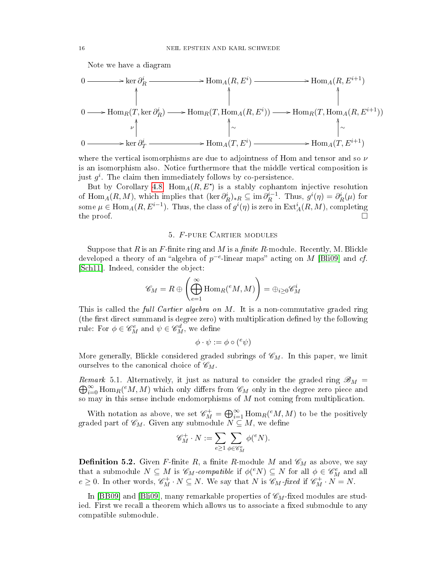Note we have a diagram

$$
0 \longrightarrow \ker \partial_R^i \longrightarrow \operatorname{Hom}_A(R, E^i) \longrightarrow \operatorname{Hom}_A(R, E^{i+1})
$$
  
\n
$$
0 \longrightarrow \operatorname{Hom}_R(T, \ker \partial_R^i) \longrightarrow \operatorname{Hom}_R(T, \operatorname{Hom}_A(R, E^i)) \longrightarrow \operatorname{Hom}_R(T, \operatorname{Hom}_A(R, E^{i+1}))
$$
  
\n
$$
0 \longrightarrow \ker \partial_T^i \longrightarrow \operatorname{Hom}_A(T, E^i) \longrightarrow \operatorname{Hom}_A(T, E^{i+1})
$$

where the vertical isomorphisms are due to adjointness of Hom and tensor and so  $\nu$ is an isomorphism also. Notice furthermore that the middle vertical composition is just  $g^i$ . The claim then immediately follows by co-persistence.

But by Corollary [4.8,](#page-14-2)  $Hom_A(R, E^*)$  is a stably cophantom injective resolution of Hom<sub>A</sub> $(R, M)$ , which implies that  $(\ker \partial_R^i)_*R \subseteq \mathrm{im } \partial_R^{i-1}$  $g^i_R^{-1}$  Thus,  $g^i(\eta) = \partial_R^i(\mu)$  for some  $\mu \in \text{Hom}_A(R, E^{i-1})$ . Thus, the class of  $g^i(\eta)$  is zero in  $\text{Ext}^i_A(R, M)$ , completing the proof.  $\Box$ 

### 5. F-pure Cartier modules

<span id="page-15-0"></span>Suppose that R is an F-finite ring and M is a finite R-module. Recently, M. Blickle developed a theory of an "algebra of  $p^{-e}$ -linear maps" acting on M [\[Bli09\]](#page-22-1) and cf. [\[Sch11\]](#page-23-2). Indeed, consider the object:

$$
\mathscr{C}_M=R\oplus\left(\bigoplus_{e=1}^\infty\mathrm{Hom}_R(^eM,M)\right)=\oplus_{i\geq 0}\mathscr{C}_M^i
$$

This is called the *full Cartier algebra on M*. It is a non-commutative graded ring (the first direct summand is degree zero) with multiplication defined by the following rule: For  $\phi \in \mathscr{C}_M^e$  and  $\psi \in \mathscr{C}_M^d$ , we define

$$
\phi \cdot \psi := \phi \circ ({}^e \psi)
$$

More generally, Blickle considered graded subrings of  $\mathscr{C}_M$ . In this paper, we limit ourselves to the canonical choice of  $\mathscr{C}_M$ .

Remark 5.1. Alternatively, it just as natural to consider the graded ring  $\mathscr{B}_M$  =  $\bigoplus_{i=0}^{\infty} \text{Hom}_{R}(^{e}M,M)$  which only differs from  $\mathscr{C}_{M}$  only in the degree zero piece and so may in this sense include endomorphisms of  $M$  not coming from multiplication.

With notation as above, we set  $\mathscr{C}_M^+ = \bigoplus_{i=1}^\infty \text{Hom}_R(^eM, M)$  to be the positively graded part of  $\mathscr{C}_M$ . Given any submodule  $N \subseteq M$ , we define

$$
\mathscr{C}_M^+\cdot N:=\sum_{e\geq 1}\sum_{\phi\in \mathscr{C}_M^e}\phi({}^eN).
$$

**Definition 5.2.** Given F-finite R, a finite R-module M and  $\mathscr{C}_M$  as above, we say that a submodule  $N \subseteq M$  is  $\mathscr{C}_M$ -compatible if  $\phi({}^e N) \subseteq N$  for all  $\phi \in \mathscr{C}_M^e$  and all  $e \geq 0$ . In other words,  $\mathscr{C}_{M}^{+} \cdot N \subseteq N$ . We say that N is  $\mathscr{C}_{M}$ -fixed if  $\mathscr{C}_{M}^{+} \cdot N = N$ .

In [\[BB09\]](#page-22-2) and [\[Bli09\]](#page-22-1), many remarkable properties of  $\mathscr{C}_M$ -fixed modules are studied. First we recall a theorem which allows us to associate a fixed submodule to any compatible submodule.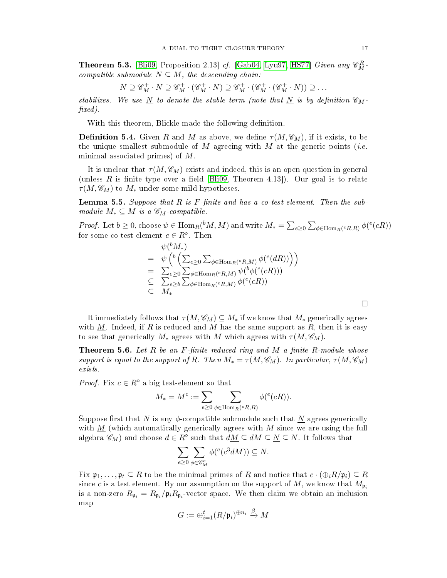**Theorem 5.3.** [\[Bli09,](#page-22-1) Proposition 2.13] *cf.* [\[Gab04,](#page-22-7) [Lyu97,](#page-23-14) [HS77\]](#page-23-15) *Given any*  $\mathscr{C}_{M}^{R}$ compatible submodule  $N \subseteq M$ , the descending chain:

$$
N \supseteq \mathscr{C}_M^+ \cdot N \supseteq \mathscr{C}_M^+ \cdot (\mathscr{C}_M^+ \cdot N) \supseteq \mathscr{C}_M^+ \cdot (\mathscr{C}_M^+ \cdot (\mathscr{C}_M^+ \cdot N)) \supseteq \dots
$$

stabilizes. We use  $\overline{N}$  to denote the stable term (note that  $\overline{N}$  is by definition  $\mathscr{C}_{M}$  $\{fixed\}$ .

With this theorem, Blickle made the following definition.

**Definition 5.4.** Given R and M as above, we define  $\tau(M, \mathscr{C}_M)$ , if it exists, to be the unique smallest submodule of M agreeing with M at the generic points (*i.e.* minimal associated primes) of M.

It is unclear that  $\tau(M, \mathscr{C}_M)$  exists and indeed, this is an open question in general (unless R is finite type over a field  $[\text{Bli09}, \text{ Theorem 4.13}])$ . Our goal is to relate  $\tau(M, \mathscr{C}_M)$  to  $M_*$  under some mild hypotheses.

**Lemma 5.5.** Suppose that  $R$  is  $F$ -finite and has a co-test element. Then the submodule  $M_* \subseteq M$  is a  $\mathscr{C}_M$ -compatible.

*Proof.* Let  $b \ge 0$ , choose  $\psi \in \text{Hom}_R({}^bM, M)$  and write  $M_* = \sum_{e \ge 0} \sum_{\phi \in \text{Hom}_R(e, R, R)} \phi({}^e(cR))$ for some co-test-element  $c \in R^{\circ}$ . Then

$$
\psi({}^{b}M_*)\n= \psi\left({}^{b}\left(\sum_{e\geq 0}\sum_{\phi\in \text{Hom}_R(eR,M)}\phi({}^{e}(dR))\right)\right)\n= \sum_{e\geq 0}\sum_{\phi\in \text{Hom}_R(eR,M)}\psi({}^{b}\phi({}^{e}(cR)))\n\subseteq \sum_{e\geq b}\sum_{\phi\in \text{Hom}_R(eR,M)}\phi({}^{e}(cR))\n\subseteq M_*
$$

It immediately follows that  $\tau(M, \mathscr{C}_M) \subseteq M_*$  if we know that  $M_*$  generically agrees with M. Indeed, if R is reduced and M has the same support as R, then it is easy to see that generically  $M_*$  agrees with M which agrees with  $\tau(M, \mathscr{C}_M)$ .

<span id="page-16-0"></span>**Theorem 5.6.** Let R be an F-finite reduced ring and M a finite R-module whose support is equal to the support of R. Then  $M_* = \tau(M, \mathcal{C}_M)$ . In particular,  $\tau(M, \mathcal{C}_M)$ exists.

*Proof.* Fix  $c \in R^{\circ}$  a big test-element so that

$$
M_* = M^c := \sum_{e \ge 0} \sum_{\phi \in \text{Hom}_R(e, R, R)} \phi({}^e(cR)).
$$

Suppose first that N is any  $\phi$ -compatible submodule such that N agrees generically with  $M$  (which automatically generically agrees with  $M$  since we are using the full algebra  $\mathscr{C}_M$ ) and choose  $d \in R^\circ$  such that  $d\underline{M} \subseteq dM \subseteq \underline{N} \subseteq N$ . It follows that

$$
\sum_{e\geq 0}\sum_{\phi\in \mathscr{C}_M^e}\phi({}^e(c^3dM))\subseteq N.
$$

Fix  $\mathfrak{p}_1,\ldots,\mathfrak{p}_t\subseteq R$  to be the minimal primes of R and notice that  $c\cdot(\bigoplus_i R/\mathfrak{p}_i)\subseteq R$ since c is a test element. By our assumption on the support of M, we know that  $M_{\mathfrak{p}_i}$ is a non-zero  $R_{\mathfrak{p}_i} = R_{\mathfrak{p}_i}/\mathfrak{p}_i R_{\mathfrak{p}_i}$  vector space. We then claim we obtain an inclusion map

$$
G := \oplus_{i=1}^t (R/\mathfrak{p}_i)^{\oplus n_i} \xrightarrow{\beta} M
$$

⊔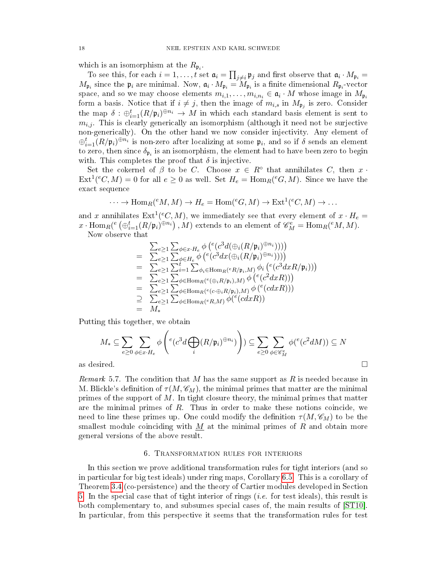which is an isomorphism at the  $R_{\mathfrak{p}_i}$ .

To see this, for each  $i=1,\ldots,t$  set  $\mathfrak{a}_i=\prod_{j\neq i}\mathfrak{p}_j$  and first observe that  $\mathfrak{a}_i\cdot M_{\mathfrak{p}_i}=$  $M_{\mathfrak{p}_i}$  since the  $\mathfrak{p}_i$  are minimal. Now,  $\mathfrak{a}_i \cdot M_{\mathfrak{p}_i} = M_{\mathfrak{p}_i}$  is a finite dimensional  $R_{\mathfrak{p}_i}$ -vector space, and so we may choose elements  $m_{i,1}, \ldots, m_{i,n_i} \in \mathfrak{a}_i \cdot M$  whose image in  $M_{\mathfrak{p}_i}$ form a basis. Notice that if  $i \neq j$ , then the image of  $m_{i,s}$  in  $M_{\mathfrak{p}_j}$  is zero. Consider the map  $\delta: \bigoplus_{i=1}^t (R/\mathfrak{p}_i)^{\oplus n_i} \to M$  in which each standard basis element is sent to  $m_{i,j}$ . This is clearly generically an isomorphism (although it need not be surjective non-generically). On the other hand we now consider injectivity. Any element of  $\oplus_{i=1}^t (R/\mathfrak{p}_i)^{\oplus n_i}$  is non-zero after localizing at some  $\mathfrak{p}_i,$  and so if  $\delta$  sends an element to zero, then since  $\delta_{\mathfrak{p}_i}$  is an isomorphism, the element had to have been zero to begin with. This completes the proof that  $\delta$  is injective.

Set the cokernel of  $\beta$  to be C. Choose  $x \in R^{\circ}$  that annihilates C, then x.  $\mathrm{Ext}^1(\mathcal{C},M)=0$  for all  $e\geq 0$  as well. Set  $H_e=\mathrm{Hom}_R(\mathcal{C}^eG,M)$ . Since we have the exact sequence

$$
\cdots \to \text{Hom}_{R}(^{e}M, M) \to H_{e} = \text{Hom}(^{e}G, M) \to \text{Ext}^{1}(^{e}C, M) \to \cdots
$$

and x annihilates  $\mathrm{Ext} ^{1}(\ ^{e}C,M),$  we immediately see that every element of  $x\cdot H_{e}=$  $x \cdot \text{Hom}_{R}(e \left( \bigoplus_{i=1}^{t} (R/\mathfrak{p}_{i})^{\oplus n_{i}} \right), M)$  extends to an element of  $\mathscr{C}_{M}^{e} = \text{Hom}_{R}(eM, M)$ .

Now observe that

$$
\begin{array}{lll}\n& \sum_{e\geq 1}\sum_{\phi\in x\cdot H_e}\phi\left(^e(c^3d(\oplus_i(R/\mathfrak{p}_i)^{\oplus n_i})))\right) \\
& = & \sum_{e\geq 1}\sum_{\phi\in H_e}\phi\left(^e(c^3dx(\oplus_i(R/\mathfrak{p}_i)^{\oplus n_i})))\right) \\
& = & \sum_{e\geq 1}\sum_{i=1}^t\sum_{\phi_i\in \text{Hom}_R(\mathfrak{e}_i(R/\mathfrak{p}_i,M)}\phi_i\left(^e(c^3dxR/\mathfrak{p}_i))\right) \\
& = & \sum_{e\geq 1}\sum_{\phi\in \text{Hom}_R(\mathfrak{e}(\oplus_iR/\mathfrak{p}_i),M)}\phi\left(^e(c^2dxR))\right) \\
& = & \sum_{e\geq 1}\sum_{\phi\in \text{Hom}_R(\mathfrak{e}(c\oplus_iR/\mathfrak{p}_i),M)}\phi\left(^e(cdxR))\right) \\
& = & M_*\n\end{array}
$$

Putting this together, we obtain

$$
M_{*} \subseteq \sum_{e \ge 0} \sum_{\phi \in x \cdot H_e} \phi \left( e(c^{3} d \bigoplus_{i} (R/\mathfrak{p}_{i})^{\oplus n_{i}}) \right) \subseteq \sum_{e \ge 0} \sum_{\phi \in \mathscr{C}_{M}^{e}} \phi(e(c^{2} d M)) \subseteq N
$$
as desired.

*Remark* 5.7. The condition that M has the same support as R is needed because in M. Blickle's definition of  $\tau(M, \mathscr{C}_M)$ , the minimal primes that matter are the minimal primes of the support of  $M$ . In tight closure theory, the minimal primes that matter are the minimal primes of  $R$ . Thus in order to make these notions coincide, we need to line these primes up. One could modify the definition  $\tau(M, \mathscr{C}_M)$  to be the smallest module coinciding with  $M$  at the minimal primes of  $R$  and obtain more general versions of the above result.

## 6. Transformation rules for interiors

<span id="page-17-0"></span>In this section we prove additional transformation rules for tight interiors (and so in particular for big test ideals) under ring maps, Corollary [6.5.](#page-19-1) This is a corollary of Theorem [3.4](#page-9-0) (co-persistence) and the theory of Cartier modules developed in Section [5.](#page-15-0) In the special case that of tight interior of rings (*i.e.* for test ideals), this result is both complementary to, and subsumes special cases of, the main results of [\[ST10\]](#page-23-5). In particular, from this perspective it seems that the transformation rules for test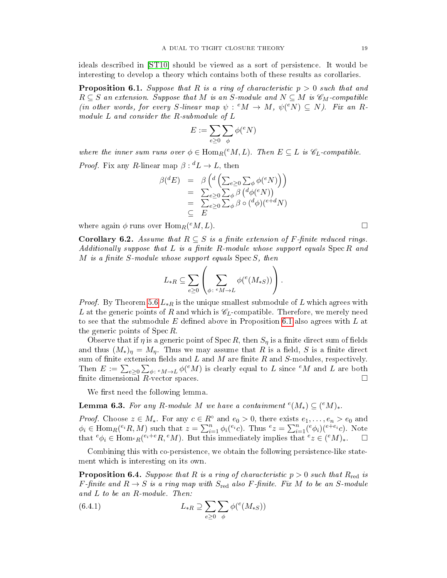ideals described in [\[ST10\]](#page-23-5) should be viewed as a sort of persistence. It would be interesting to develop a theory which contains both of these results as corollaries.

<span id="page-18-0"></span>**Proposition 6.1.** Suppose that R is a ring of characteristic  $p > 0$  such that and  $R \subseteq S$  an extension. Suppose that M is an S-module and  $N \subseteq M$  is  $\mathscr{C}_M$ -compatible (in other words, for every S-linear map  $\psi$ :  $e^e M \to M$ ,  $\psi$  $(e^e N) \subseteq N$ ). Fix an Rmodule L and consider the R-submodule of L

$$
E:=\sum_{e\geq 0}\sum_{\phi}\phi({}^eN)
$$

where the inner sum runs over  $\phi \in \text{Hom}_R({}^eM, L)$ . Then  $E \subseteq L$  is  $\mathscr{C}_L$ -compatible.

*Proof.* Fix any R-linear map  $\beta: {}^d L \to L$ , then

$$
\beta(^{d}E) = \beta \left( {}^{d} \left( \sum_{e \geq 0} \sum_{\phi} \phi^{(e)} N \right) \right)
$$
  
= 
$$
\sum_{e \geq 0} \sum_{\phi} \beta \left( {}^{d} \phi^{(e)} N \right)
$$
  
= 
$$
\sum_{e \geq 0} \sum_{\phi} \beta \circ ({}^{d} \phi)({}^{e+d} N)
$$
  

$$
\subseteq E
$$

where again  $\phi$  runs over  $\text{Hom}_R(eM, L)$ .

<span id="page-18-3"></span>**Corollary 6.2.** Assume that  $R \subseteq S$  is a finite extension of F-finite reduced rings. Additionally suppose that  $L$  is a finite R-module whose support equals  $Spec R$  and M is a finite S-module whose support equals  $\text{Spec } S$ , then

$$
L_{*R} \subseteq \sum_{e \ge 0} \left( \sum_{\phi \colon e M \to L} \phi({}^e(M_{*S})) \right).
$$

*Proof.* By Theorem [5.6](#page-16-0)  $L_{*R}$  is the unique smallest submodule of L which agrees with L at the generic points of R and which is  $\mathscr{C}_L$ -compatible. Therefore, we merely need to see that the submodule E defined above in Proposition [6.1](#page-18-0) also agrees with L at the generic points of  $\text{Spec } R$ .

Observe that if  $\eta$  is a generic point of Spec R, then  $S_{\eta}$  is a finite direct sum of fields and thus  $(M_*)_\eta = M_\eta$ . Thus we may assume that R is a field, S is a finite direct sum of finite extension fields and  $L$  and  $M$  are finite  $R$  and  $S$ -modules, respectively. Then  $E := \sum_{e \geq 0} \sum_{\phi \colon e_M \to L} \phi^e(M)$  is clearly equal to L since  $^eM$  and L are both finite dimensional  $R$ -vector spaces.  $\Box$ 

We first need the following lemma.

<span id="page-18-1"></span>**Lemma 6.3.** For any R-module M we have a containment  $^{e}(M_*) \subseteq (^{e}M)_*.$ 

*Proof.* Choose  $z \in M_*$ . For any  $c \in R^{\circ}$  and  $e_0 > 0$ , there exists  $e_1, \ldots, e_n > e_0$  and  $\phi_i \in \text{Hom}_R(e_i, M)$  such that  $z = \sum_{i=1}^n \phi_i(e_i c)$ . Thus  $e_z = \sum_{i=1}^n (e_{\phi_i})(e_i e_i c)$ . Note that  ${}^e\phi_i \in \text{Hom}_{{}^eR}(e_i + {}^eR, {}^eM)$ . But this immediately implies that  ${}^e z \in ({}^eM)_*$ .  $\Box$ 

Combining this with co-persistence, we obtain the following persistence-like statement which is interesting on its own.

<span id="page-18-2"></span>**Proposition 6.4.** Suppose that R is a ring of characteristic  $p > 0$  such that R<sub>red</sub> is F-finite and  $R \to S$  is a ring map with  $S_{red}$  also F-finite. Fix M to be an S-module and L to be an R-module. Then:

(6.4.1) 
$$
L_{*R} \supseteq \sum_{e \geq 0} \sum_{\phi} \phi({}^e(M_{*S}))
$$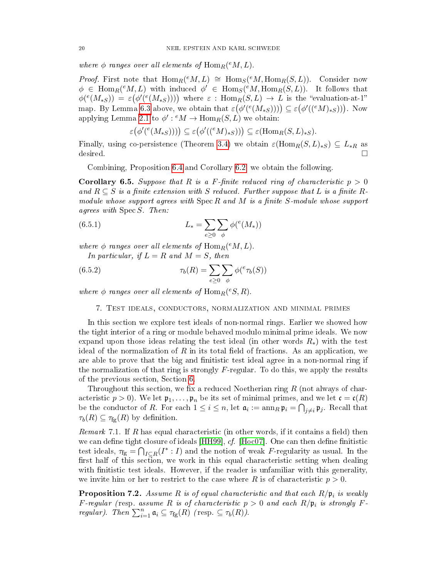where  $\phi$  ranges over all elements of  $\operatorname{Hom}_R({}^eM,L)$ .

*Proof.* First note that  $\text{Hom}_R(eM, L) \cong \text{Hom}_S(eM, \text{Hom}_R(S, L))$ . Consider now  $\phi \in \text{Hom}_R(eM, L)$  with induced  $\phi' \in \text{Hom}_S(eM, \text{Hom}_R(S, L))$ . It follows that  $\phi({}^e(M_{*S})) = \varepsilon(\phi'({}^e(M_{*S}))))$  where  $\varepsilon : \text{Hom}_R(S, L) \to L$  is the "evaluation-at-1" map. By Lemma [6.3](#page-18-1) above, we obtain that  $\varepsilon(\phi'(e(M_{*S})))) \subseteq \varepsilon(\phi'((eM)_{*S})))$ . Now applying Lemma [2.1](#page-3-1) to  $\phi'$  :  $^eM \to \text{Hom}_R(S, L)$  we obtain:

$$
\varepsilon(\phi'({}^e(M_{*S})))) \subseteq \varepsilon(\phi'({}({}^eM)_{*S}))) \subseteq \varepsilon(\mathrm{Hom}_R(S, L)_{*S}).
$$

Finally, using co-persistence (Theorem [3.4\)](#page-9-0) we obtain  $\varepsilon(\text{Hom}_R(S, L)_{*S}) \subseteq L_{*R}$  as desired.

Combining, Proposition [6.4](#page-18-2) and Corollary [6.2,](#page-18-3) we obtain the following.

<span id="page-19-1"></span>Corollary 6.5. Suppose that R is a F-finite reduced ring of characteristic  $p > 0$ and  $R \subseteq S$  is a finite extension with S reduced. Further suppose that L is a finite Rmodule whose support agrees with  $\operatorname{Spec} R$  and  $M$  is a finite S-module whose support agrees with Spec S. Then:

(6.5.1) 
$$
L_* = \sum_{e \ge 0} \sum_{\phi} \phi(^e(M_*))
$$

where  $\phi$  ranges over all elements of  $\mathrm{Hom}_R({}^eM,L)$ . In particular, if  $L = R$  and  $M = S$ , then

(6.5.2) 
$$
\tau_b(R) = \sum_{e \ge 0} \sum_{\phi} \phi({}^e \tau_b(S))
$$

<span id="page-19-0"></span>where  $\phi$  ranges over all elements of  $\text{Hom}_R({}^eS,R)$ .

## 7. Test ideals, conductors, normalization and minimal primes

In this section we explore test ideals of non-normal rings. Earlier we showed how the tight interior of a ring or module behaved modulo minimal prime ideals. We now expand upon those ideas relating the test ideal (in other words  $R_*$ ) with the test ideal of the normalization of R in its total field of fractions. As an application, we are able to prove that the big and finitistic test ideal agree in a non-normal ring if the normalization of that ring is strongly  $F$ -regular. To do this, we apply the results of the previous section, Section [6.](#page-17-0)

Throughout this section, we fix a reduced Noetherian ring  $R$  (not always of characteristic  $p > 0$ . We let  $\mathfrak{p}_1, \ldots, \mathfrak{p}_n$  be its set of minimal primes, and we let  $\mathfrak{c} = \mathfrak{c}(R)$ be the conductor of R. For each  $1 \leq i \leq n$ , let  $\mathfrak{a}_i := \mathrm{ann}_R \, \mathfrak{p}_i = \bigcap_{j \neq i} \mathfrak{p}_j$ . Recall that  $\tau_b(R) \subseteq \tau_{fg}(R)$  by definition.

*Remark* 7.1. If R has equal characteristic (in other words, if it contains a field) then we can define tight closure of ideals [\[HH99\]](#page-23-16),  $cf.$  [\[Hoc07\]](#page-23-17). One can then define finitistic test ideals,  $\tau_{fg} = \bigcap_{I \subseteq R} (I^* : I)$  and the notion of weak F-regularity as usual. In the first half of this section, we work in this equal characteristic setting when dealing with finitistic test ideals. However, if the reader is unfamiliar with this generality, we invite him or her to restrict to the case where R is of characteristic  $p > 0$ .

**Proposition 7.2.** Assume R is of equal characteristic and that each  $R/\mathfrak{p}_i$  is weakly F-regular (resp. assume R is of characteristic  $p > 0$  and each  $R/\mathfrak{p}_i$  is strongly Fregular). Then  $\sum_{i=1}^n \mathfrak{a}_i \subseteq \tau_{fg}(R)$  (resp.  $\subseteq \tau_b(R)$ ).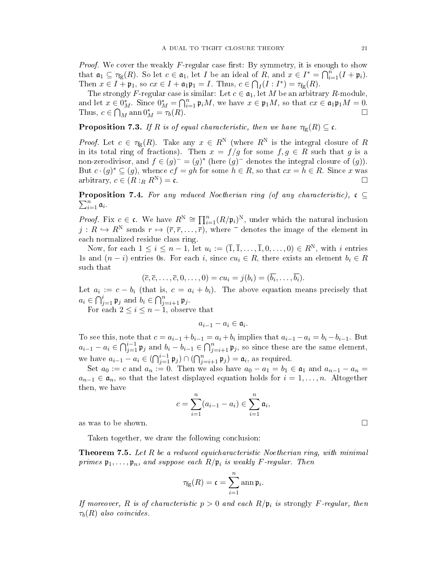*Proof.* We cover the weakly F-regular case first: By symmetry, it is enough to show that  $\mathfrak{a}_1 \subseteq \tau_{fg}(R)$ . So let  $c \in \mathfrak{a}_1$ , let *I* be an ideal of  $R$ , and  $x \in I^* = \bigcap_{i=1}^n (I + \mathfrak{p}_i)$ . Then  $x \in I + \mathfrak{p}_1$ , so  $cx \in I + \mathfrak{a}_1 \mathfrak{p}_1 = I$ . Thus,  $c \in \bigcap_I (I : I^*) = \tau_{fg}(R)$ .

The strongly F-regular case is similar: Let  $c \in \mathfrak{a}_1$ , let M be an arbitrary R-module, and let  $x \in 0^*_M$ . Since  $0^*_M = \bigcap_{i=1}^n \mathfrak{p}_i M$ , we have  $x \in \mathfrak{p}_1 M$ , so that  $cx \in \mathfrak{a}_1 \mathfrak{p}_1 M = 0$ . Thus,  $c \in \bigcap_{M} \text{ann } 0^*_{M} = \tau_b(R)$ .

<span id="page-20-2"></span>**Proposition 7.3.** If R is of equal characteristic, then we have  $\tau_{fg}(R) \subseteq \mathfrak{c}$ .

*Proof.* Let  $c \in \tau_{fg}(R)$ . Take any  $x \in R^N$  (where  $R^N$  is the integral closure of R in its total ring of fractions). Then  $x = f/g$  for some  $f, g \in R$  such that g is a non-zerodivisor, and  $f \in (g)^- = (g)^*$  (here  $(g)^-$  denotes the integral closure of  $(g)$ ). But  $c \cdot (g)^* \subseteq (g)$ , whence  $cf = gh$  for some  $h \in R$ , so that  $cx = h \in R$ . Since x was arbitrary,  $c \in (R :_R R^N) = c$ .

<span id="page-20-1"></span> $\sum_{i=1}^n \mathfrak{a}_i$ . **Proposition 7.4.** For any reduced Noetherian ring (of any characteristic),  $c \subseteq$ 

*Proof.* Fix  $c \in \mathfrak{c}$ . We have  $R^N \cong \prod_{i=1}^n (R/\mathfrak{p}_i)^N$ , under which the natural inclusion  $j: R \hookrightarrow R^N$  sends  $r \mapsto (\overline{r}, \overline{r}, \ldots, \overline{r})$ , where  $\overline{\phantom{a}}$  denotes the image of the element in each normalized residue class ring.

Now, for each  $1 \leq i \leq n-1$ , let  $u_i := (\overline{1}, \overline{1}, \ldots, \overline{1}, 0, \ldots, 0) \in R^N$ , with i entries 1s and  $(n - i)$  entries 0s. For each i, since  $cu_i \in R$ , there exists an element  $b_i \in R$ such that

$$
(\overline{c}, \overline{c}, \ldots, \overline{c}, 0, \ldots, 0) = cu_i = j(b_i) = (\overline{b_i}, \ldots, \overline{b_i}).
$$

Let  $a_i := c - b_i$  (that is,  $c = a_i + b_i$ ). The above equation means precisely that  $a_i \in \bigcap_{j=1}^i \mathfrak{p}_j$  and  $b_i \in \bigcap_{j=i+1}^n \mathfrak{p}_j$ .

For each  $2 \leq i \leq n-1$ , observe that

 $a_{i-1} - a_i \in \mathfrak{a}_i.$ 

To see this, note that  $c = a_{i-1} + b_{i-1} = a_i + b_i$  implies that  $a_{i-1} - a_i = b_i - b_{i-1}$ . But  $a_{i-1} - a_i \in \bigcap_{j=1}^{i-1} \mathfrak{p}_j$  and  $b_i - b_{i-1} \in \bigcap_{j=i+1}^{n} \mathfrak{p}_j$ , so since these are the same element, we have  $a_{i-1} - a_i \in (\bigcap_{j=1}^{i-1} \mathfrak{p}_j) \cap (\bigcap_{j=i+1}^{n} \mathfrak{p}_j) = \mathfrak{a}_i$ , as required.

Set  $a_0 := c$  and  $a_n := 0$ . Then we also have  $a_0 - a_1 = b_1 \in \mathfrak{a}_1$  and  $a_{n-1} - a_n =$  $a_{n-1} \in \mathfrak{a}_n$ , so that the latest displayed equation holds for  $i = 1, \ldots, n$ . Altogether then, we have

$$
c = \sum_{i=1}^{n} (a_{i-1} - a_i) \in \sum_{i=1}^{n} \mathfrak{a}_i,
$$
 as was to be shown.

Taken together, we draw the following conclusion:

<span id="page-20-0"></span>**Theorem 7.5.** Let  $R$  be a reduced equicharacteristic Noetherian ring, with minimal primes  $\mathfrak{p}_1,\ldots,\mathfrak{p}_n$ , and suppose each  $R/\mathfrak{p}_i$  is weakly F-regular. Then

$$
\tau_{\rm fg}(R)=\mathfrak{c}=\sum_{i=1}^n\operatorname{ann}\mathfrak{p}_i.
$$

If moreover, R is of characteristic  $p > 0$  and each  $R/\mathfrak{p}_i$  is strongly F-regular, then  $\tau_b(R)$  also coincides.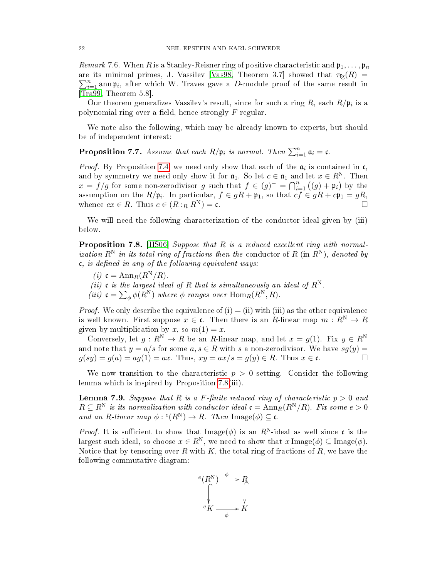Remark 7.6. When R is a Stanley-Reisner ring of positive characteristic and  $\mathfrak{p}_1, \ldots, \mathfrak{p}_n$ are its minimal primes, J. Vassilev [\[Vas98,](#page-23-8) Theorem 3.7] showed that  $\tau_{\text{fg}}(R)$  =  $\sum_{i=1}^{n}$  ann p<sub>i</sub>, after which W. Traves gave a D-module proof of the same result in [\[Tra99,](#page-23-9) Theorem 5.8].

Our theorem generalizes Vassilev's result, since for such a ring R, each  $R/\mathfrak{p}_i$  is a polynomial ring over a field, hence strongly  $F$ -regular.

We note also the following, which may be already known to experts, but should be of independent interest:

**Proposition 7.7.** Assume that each  $R/\mathfrak{p}_i$  is normal. Then  $\sum_{i=1}^n \mathfrak{a}_i = \mathfrak{c}$ .

*Proof.* By Proposition [7.4,](#page-20-1) we need only show that each of the  $a_i$  is contained in  $c$ , and by symmetry we need only show it for  $a_1$ . So let  $c \in a_1$  and let  $x \in R^N$ . Then  $x = f/g$  for some non-zerodivisor g such that  $f \in (g)^{-} = \bigcap_{i=1}^{n} ((g) + \mathfrak{p}_i)$  by the assumption on the  $R/\mathfrak{p}_i$ . In particular,  $f \in gR + \mathfrak{p}_1$ , so that  $cf \in gR + c\mathfrak{p}_1 = gR$ , whence  $cx \in R$ . Thus  $c \in (R :_R R^N) = \mathfrak{c}$ .

We will need the following characterization of the conductor ideal given by (iii) below.

<span id="page-21-0"></span>Proposition 7.8. [\[HS06\]](#page-23-18) Suppose that R is a reduced excellent ring with normalization  $R^N$  in its total ring of fractions then the conductor of R (in  $R^N$ ), denoted by  $\mathfrak{c}$ , is defined in any of the following equivalent ways:

- (i)  $\mathfrak{c} = \text{Ann}_R(R^N/R)$ .
- (ii) c is the largest ideal of R that is simultaneously an ideal of  $R^N$ .
- (iii)  $\mathfrak{c} = \sum_{\phi} \phi(R^N)$  where  $\phi$  ranges over  $\operatorname{Hom}_R(R^N, R)$ .

*Proof.* We only describe the equivalence of (i) = (ii) with (iii) as the other equivalence is well known. First suppose  $x \in \mathfrak{c}$ . Then there is an R-linear map  $m : R^N \to R$ given by multiplication by x, so  $m(1) = x$ .

Conversely, let  $g : R^N \to R$  be an R-linear map, and let  $x = g(1)$ . Fix  $y \in R^N$ and note that  $y = a/s$  for some  $a, s \in R$  with s a non-zerodivisor. We have  $sq(y) =$  $g(sy) = g(a) = ag(1) = ax$ . Thus,  $xy = ax/s = g(y) \in R$ . Thus  $x \in \mathfrak{c}$ .

We now transition to the characteristic  $p > 0$  setting. Consider the following lemma which is inspired by Proposition [7.8\(](#page-21-0)iii).

<span id="page-21-1"></span>**Lemma 7.9.** Suppose that R is a F-finite reduced ring of characteristic  $p > 0$  and  $R \subseteq R^N$  is its normalization with conductor ideal  $\mathfrak{c} = \text{Ann}_R(R^N/R)$ . Fix some  $e > 0$ and an R-linear map  $\phi: {}^e(R^N) \to R$ . Then Image $(\phi) \subseteq \mathfrak{c}$ .

*Proof.* It is sufficient to show that Image( $\phi$ ) is an R<sup>N</sup>-ideal as well since c is the largest such ideal, so choose  $x \in R^N$ , we need to show that  $x \text{Image}(\phi) \subseteq \text{Image}(\phi)$ . Notice that by tensoring over R with K, the total ring of fractions of R, we have the following commutative diagram:

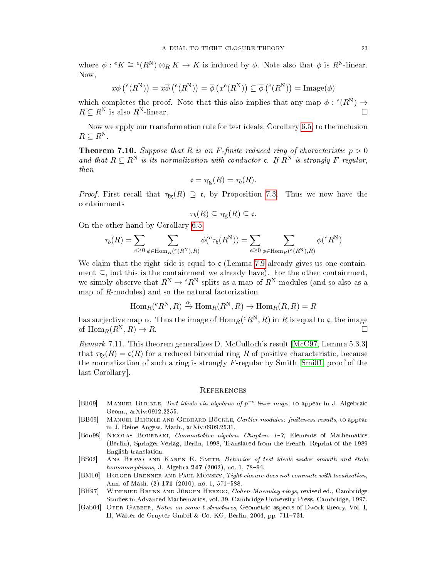where  $\overline{\phi}: {}^eK \cong {}^e(R^N) \otimes_R K \to K$  is induced by  $\phi$ . Note also that  $\overline{\phi}$  is  $R^N$ -linear. Now,

$$
x\phi\left(\mathcal{E}(R^N)\right) = x\overline{\phi}\left(\mathcal{E}(R^N)\right) = \overline{\phi}\left(x^e(R^N)\right) \subseteq \overline{\phi}\left(\mathcal{E}(R^N)\right) = \text{Image}(\phi)
$$

which completes the proof. Note that this also implies that any map  $\phi: {}^e(R^N) \to$  $R \subseteq R^N$  is also  $R^N$ -linear.

Now we apply our transformation rule for test ideals, Corollary [6.5,](#page-19-1) to the inclusion  $R \subseteq R^N$ .

<span id="page-22-3"></span>**Theorem 7.10.** Suppose that R is an F-finite reduced ring of characteristic  $p > 0$ and that  $R \subseteq R^N$  is its normalization with conductor c. If  $R^N$  is strongly F-regular, then

$$
\mathfrak{c} = \tau_{fg}(R) = \tau_b(R).
$$

*Proof.* First recall that  $\tau_{fg}(R) \supseteq \mathfrak{c}$ , by Proposition [7.3.](#page-20-2) Thus we now have the containments

$$
\tau_b(R) \subseteq \tau_{\textnormal{fg}}(R) \subseteq \mathfrak{c}.
$$

On the other hand by Corollary [6.5,](#page-19-1)

$$
\tau_b(R) = \sum_{e \geq 0} \sum_{\phi \in \operatorname{Hom}_R(e(R^{\mathrm{N}}),R)} \phi({}^e\tau_b(R^{\mathrm{N}})) = \sum_{e \geq 0} \sum_{\phi \in \operatorname{Hom}_R(e(R^{\mathrm{N}}),R)} \phi({}^eR^{\mathrm{N}})
$$

We claim that the right side is equal to  $\mathfrak{c}$  (Lemma [7.9](#page-21-1) already gives us one containment  $\subseteq$ , but this is the containment we already have). For the other containment, we simply observe that  $R^{N} \to {}^{e}R^{N}$  splits as a map of  $R^{N}$ -modules (and so also as a map of  $R$ -modules) and so the natural factorization

$$
\text{Hom}_{R}(^{e}R^{N}, R) \xrightarrow{\alpha} \text{Hom}_{R}(R^{N}, R) \to \text{Hom}_{R}(R, R) = R
$$

has surjective map  $\alpha.$  Thus the image of  $\mathrm{Hom}_R(eR^{\scriptstyle \mathrm{N}},R)$  in  $R$  is equal to  $\mathfrak{c},$  the image of  $\text{Hom}_R(R^N, R) \to R$ .

Remark 7.11. This theorem generalizes D. McCulloch's result [\[McC97,](#page-23-19) Lemma 5.3.3] that  $\tau_{\text{fg}}(R) = \mathfrak{c}(R)$  for a reduced binomial ring R of positive characteristic, because the normalization of such a ring is strongly  $F$ -regular by Smith [\[Smi01,](#page-23-20) proof of the last Corollary].

#### **REFERENCES**

- <span id="page-22-1"></span>[Bli09] MANUEL BLICKLE, Test ideals via algebras of  $p^{-e}$ -liner maps, to appear in J. Algebraic Geom., arXiv:0912.2255.
- <span id="page-22-2"></span>[BB09] MANUEL BLICKLE AND GEBHARD BÖCKLE, Cartier modules: finiteness results, to appear in J. Reine Angew. Math., arXiv:0909.2531.
- <span id="page-22-5"></span>[Bou98] Nicolas Bourbaki, Commutative algebra. Chapters 17, Elements of Mathematics (Berlin), Springer-Verlag, Berlin, 1998, Translated from the French, Reprint of the 1989 English translation.
- <span id="page-22-4"></span>[BS02] Ana Bravo and Karen E. Smith, Behavior of test ideals under smooth and étale *homomorphisms*, J. Algebra  $247$  (2002), no. 1, 78-94.
- <span id="page-22-0"></span>[BM10] HOLGER BRENNER AND PAUL MONSKY, Tight closure does not commute with localization, Ann. of Math.  $(2)$  171  $(2010)$ , no. 1, 571-588.
- <span id="page-22-6"></span>[BH97] Winfried Bruns and Jürgen Herzog, Cohen-Macaulay rings, revised ed., Cambridge Studies in Advanced Mathematics, vol. 39, Cambridge University Press, Cambridge, 1997.
- <span id="page-22-7"></span>[Gab04] OFER GABBER, Notes on some t-structures, Geometric aspects of Dwork theory. Vol. I, II, Walter de Gruyter GmbH & Co. KG, Berlin, 2004, pp.  $711-734$ .